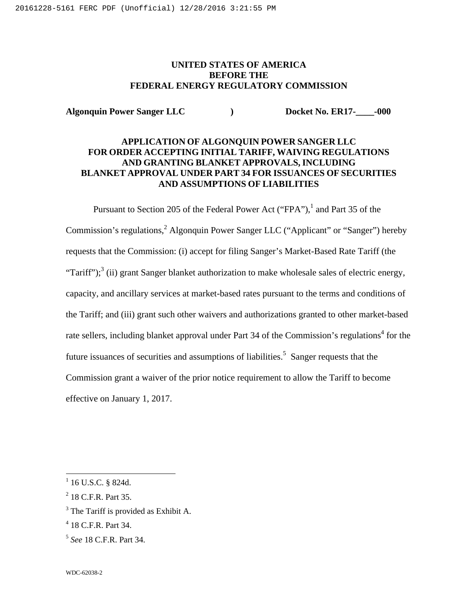# **UNITED STATES OF AMERICA BEFORE THE FEDERAL ENERGY REGULATORY COMMISSION**

**Algonquin Power Sanger LLC ) Docket No. ER17-\_\_\_\_-000**

# **APPLICATION OF ALGONQUIN POWER SANGER LLC FOR ORDER ACCEPTING INITIAL TARIFF, WAIVING REGULATIONS AND GRANTING BLANKET APPROVALS, INCLUDING BLANKET APPROVAL UNDER PART 34 FOR ISSUANCES OF SECURITIES AND ASSUMPTIONS OF LIABILITIES**

Pursuant to Section 205 of the Federal Power Act ("FPA"),<sup>1</sup> and Part 35 of the Commission's regulations,<sup>2</sup> Algonquin Power Sanger LLC ("Applicant" or "Sanger") hereby requests that the Commission: (i) accept for filing Sanger's Market-Based Rate Tariff (the "Tariff");<sup>3</sup> (ii) grant Sanger blanket authorization to make wholesale sales of electric energy, capacity, and ancillary services at market-based rates pursuant to the terms and conditions of the Tariff; and (iii) grant such other waivers and authorizations granted to other market-based rate sellers, including blanket approval under Part 34 of the Commission's regulations<sup>4</sup> for the future issuances of securities and assumptions of liabilities.<sup>5</sup> Sanger requests that the Commission grant a waiver of the prior notice requirement to allow the Tariff to become effective on January 1, 2017.

 $^{1}$  16 U.S.C. § 824d.

<sup>2</sup> 18 C.F.R. Part 35.

<sup>&</sup>lt;sup>3</sup> The Tariff is provided as Exhibit A.

<sup>4</sup> 18 C.F.R. Part 34.

<sup>5</sup> *See* 18 C.F.R. Part 34.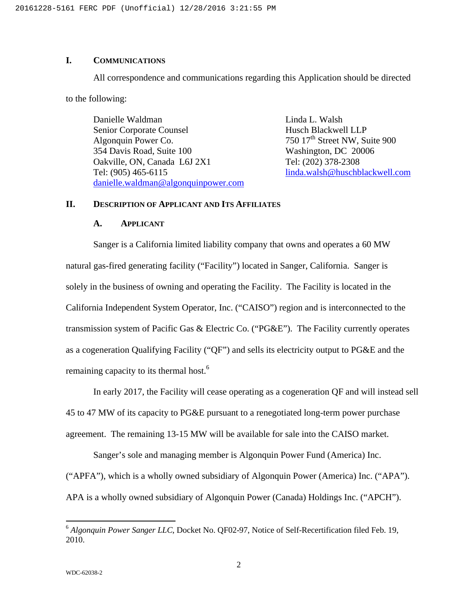# **I. COMMUNICATIONS**

All correspondence and communications regarding this Application should be directed

to the following:

Danielle Waldman Linda L. Walsh Senior Corporate Counsel Husch Blackwell LLP Algonquin Power Co.  $750 \frac{17}{\text{th}}$  Street NW, Suite 900 354 Davis Road, Suite 100 Washington, DC 20006 Oakville, ON, Canada L6J 2X1 Tel: (202) 378-2308 Tel: (905) 465-6115 linda.walsh@huschblackwell.com danielle.waldman@algonquinpower.com

### **II. DESCRIPTION OF APPLICANT AND ITS AFFILIATES**

#### **A. APPLICANT**

Sanger is a California limited liability company that owns and operates a 60 MW natural gas-fired generating facility ("Facility") located in Sanger, California. Sanger is solely in the business of owning and operating the Facility. The Facility is located in the California Independent System Operator, Inc. ("CAISO") region and is interconnected to the transmission system of Pacific Gas & Electric Co. ("PG&E"). The Facility currently operates as a cogeneration Qualifying Facility ("QF") and sells its electricity output to PG&E and the remaining capacity to its thermal host.<sup>6</sup>

In early 2017, the Facility will cease operating as a cogeneration QF and will instead sell 45 to 47 MW of its capacity to PG&E pursuant to a renegotiated long-term power purchase agreement. The remaining 13-15 MW will be available for sale into the CAISO market.

Sanger's sole and managing member is Algonquin Power Fund (America) Inc. ("APFA"), which is a wholly owned subsidiary of Algonquin Power (America) Inc. ("APA"). APA is a wholly owned subsidiary of Algonquin Power (Canada) Holdings Inc. ("APCH").

<sup>&</sup>lt;sup>6</sup> Algonquin Power Sanger LLC, Docket No. QF02-97, Notice of Self-Recertification filed Feb. 19, 2010.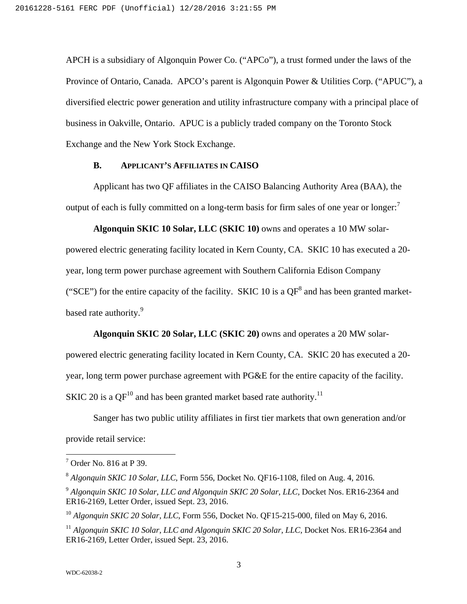APCH is a subsidiary of Algonquin Power Co. ("APCo"), a trust formed under the laws of the Province of Ontario, Canada. APCO's parent is Algonquin Power & Utilities Corp. ("APUC"), a diversified electric power generation and utility infrastructure company with a principal place of business in Oakville, Ontario. APUC is a publicly traded company on the Toronto Stock Exchange and the New York Stock Exchange.

#### **B. APPLICANT'S AFFILIATES IN CAISO**

Applicant has two QF affiliates in the CAISO Balancing Authority Area (BAA), the output of each is fully committed on a long-term basis for firm sales of one year or longer:<sup>7</sup>

**Algonquin SKIC 10 Solar, LLC (SKIC 10)** owns and operates a 10 MW solarpowered electric generating facility located in Kern County, CA. SKIC 10 has executed a 20 year, long term power purchase agreement with Southern California Edison Company ("SCE") for the entire capacity of the facility. SKIC 10 is a  $QF^8$  and has been granted marketbased rate authority.<sup>9</sup>

**Algonquin SKIC 20 Solar, LLC (SKIC 20)** owns and operates a 20 MW solarpowered electric generating facility located in Kern County, CA. SKIC 20 has executed a 20 year, long term power purchase agreement with PG&E for the entire capacity of the facility. SKIC 20 is a  $QF^{10}$  and has been granted market based rate authority.<sup>11</sup>

Sanger has two public utility affiliates in first tier markets that own generation and/or provide retail service:

 $\overline{a}$ 

 $<sup>7</sup>$  Order No. 816 at P 39.</sup>

<sup>8</sup> *Algonquin SKIC 10 Solar, LLC,* Form 556, Docket No. QF16-1108, filed on Aug. 4, 2016.

<sup>9</sup> *Algonquin SKIC 10 Solar, LLC and Algonquin SKIC 20 Solar, LLC,* Docket Nos. ER16-2364 and ER16-2169, Letter Order, issued Sept. 23, 2016.

<sup>&</sup>lt;sup>10</sup> Algonquin SKIC 20 Solar, LLC, Form 556, Docket No. QF15-215-000, filed on May 6, 2016.

<sup>&</sup>lt;sup>11</sup> Algonquin SKIC 10 Solar, LLC and Algonquin SKIC 20 Solar, LLC, Docket Nos. ER16-2364 and ER16-2169, Letter Order, issued Sept. 23, 2016.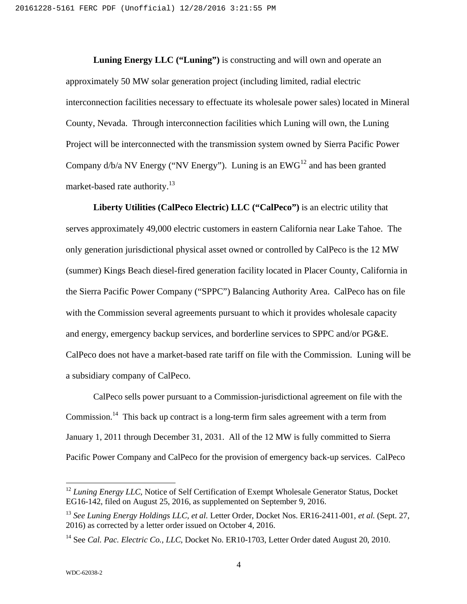**Luning Energy LLC ("Luning")** is constructing and will own and operate an approximately 50 MW solar generation project (including limited, radial electric interconnection facilities necessary to effectuate its wholesale power sales) located in Mineral County, Nevada. Through interconnection facilities which Luning will own, the Luning Project will be interconnected with the transmission system owned by Sierra Pacific Power Company  $d/b/a$  NV Energy ("NV Energy"). Luning is an  $EWG^{12}$  and has been granted market-based rate authority.<sup>13</sup>

**Liberty Utilities (CalPeco Electric) LLC ("CalPeco")** is an electric utility that serves approximately 49,000 electric customers in eastern California near Lake Tahoe. The only generation jurisdictional physical asset owned or controlled by CalPeco is the 12 MW (summer) Kings Beach diesel-fired generation facility located in Placer County, California in the Sierra Pacific Power Company ("SPPC") Balancing Authority Area. CalPeco has on file with the Commission several agreements pursuant to which it provides wholesale capacity and energy, emergency backup services, and borderline services to SPPC and/or PG&E. CalPeco does not have a market-based rate tariff on file with the Commission. Luning will be a subsidiary company of CalPeco.

CalPeco sells power pursuant to a Commission-jurisdictional agreement on file with the Commission.<sup>14</sup> This back up contract is a long-term firm sales agreement with a term from January 1, 2011 through December 31, 2031. All of the 12 MW is fully committed to Sierra Pacific Power Company and CalPeco for the provision of emergency back-up services. CalPeco

<sup>&</sup>lt;sup>12</sup> *Luning Energy LLC*, Notice of Self Certification of Exempt Wholesale Generator Status, Docket EG16-142, filed on August 25, 2016, as supplemented on September 9, 2016.

<sup>13</sup> *See Luning Energy Holdings LLC, et al.* Letter Order, Docket Nos. ER16-2411-001, *et al.* (Sept. 27, 2016) as corrected by a letter order issued on October 4, 2016.

<sup>&</sup>lt;sup>14</sup> See *Cal. Pac. Electric Co., LLC*, Docket No. ER10-1703, Letter Order dated August 20, 2010.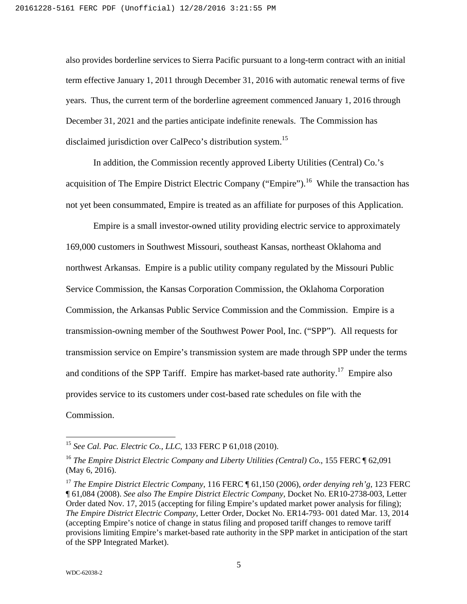also provides borderline services to Sierra Pacific pursuant to a long-term contract with an initial term effective January 1, 2011 through December 31, 2016 with automatic renewal terms of five years. Thus, the current term of the borderline agreement commenced January 1, 2016 through December 31, 2021 and the parties anticipate indefinite renewals. The Commission has disclaimed jurisdiction over CalPeco's distribution system.<sup>15</sup>

In addition, the Commission recently approved Liberty Utilities (Central) Co.'s acquisition of The Empire District Electric Company ("Empire").<sup>16</sup> While the transaction has not yet been consummated, Empire is treated as an affiliate for purposes of this Application.

Empire is a small investor-owned utility providing electric service to approximately 169,000 customers in Southwest Missouri, southeast Kansas, northeast Oklahoma and northwest Arkansas. Empire is a public utility company regulated by the Missouri Public Service Commission, the Kansas Corporation Commission, the Oklahoma Corporation Commission, the Arkansas Public Service Commission and the Commission. Empire is a transmission-owning member of the Southwest Power Pool, Inc. ("SPP"). All requests for transmission service on Empire's transmission system are made through SPP under the terms and conditions of the SPP Tariff. Empire has market-based rate authority.<sup>17</sup> Empire also provides service to its customers under cost-based rate schedules on file with the Commission.

<sup>15</sup> *See Cal. Pac. Electric Co., LLC*, 133 FERC P 61,018 (2010).

<sup>&</sup>lt;sup>16</sup> The Empire District Electric Company and Liberty Utilities (Central) Co., 155 FERC ¶ 62,091 (May 6, 2016).

<sup>17</sup> *The Empire District Electric Company*, 116 FERC ¶ 61,150 (2006), *order denying reh'g*, 123 FERC ¶ 61,084 (2008). *See also The Empire District Electric Company*, Docket No. ER10-2738-003, Letter Order dated Nov. 17, 2015 (accepting for filing Empire's updated market power analysis for filing); *The Empire District Electric Company*, Letter Order, Docket No. ER14-793- 001 dated Mar. 13, 2014 (accepting Empire's notice of change in status filing and proposed tariff changes to remove tariff provisions limiting Empire's market-based rate authority in the SPP market in anticipation of the start of the SPP Integrated Market).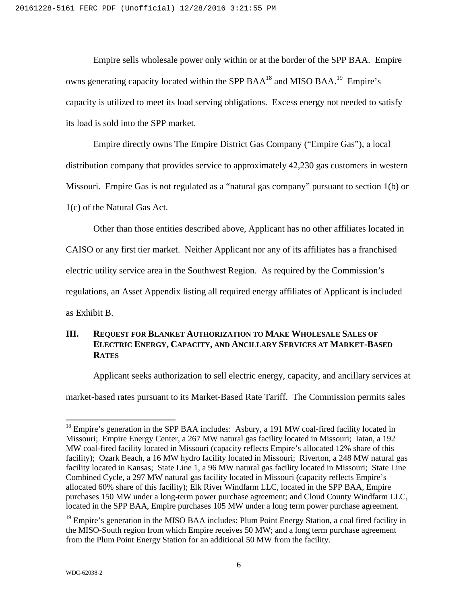Empire sells wholesale power only within or at the border of the SPP BAA. Empire owns generating capacity located within the SPP BAA<sup>18</sup> and MISO BAA.<sup>19</sup> Empire's capacity is utilized to meet its load serving obligations. Excess energy not needed to satisfy its load is sold into the SPP market.

Empire directly owns The Empire District Gas Company ("Empire Gas"), a local distribution company that provides service to approximately 42,230 gas customers in western Missouri. Empire Gas is not regulated as a "natural gas company" pursuant to section 1(b) or 1(c) of the Natural Gas Act.

Other than those entities described above, Applicant has no other affiliates located in

CAISO or any first tier market. Neither Applicant nor any of its affiliates has a franchised

electric utility service area in the Southwest Region. As required by the Commission's

regulations, an Asset Appendix listing all required energy affiliates of Applicant is included

as Exhibit B.

 $\overline{a}$ 

# **III. REQUEST FOR BLANKET AUTHORIZATION TO MAKE WHOLESALE SALES OF ELECTRIC ENERGY, CAPACITY, AND ANCILLARY SERVICES AT MARKET-BASED RATES**

Applicant seeks authorization to sell electric energy, capacity, and ancillary services at

market-based rates pursuant to its Market-Based Rate Tariff. The Commission permits sales

<sup>&</sup>lt;sup>18</sup> Empire's generation in the SPP BAA includes: Asbury, a 191 MW coal-fired facility located in Missouri; Empire Energy Center, a 267 MW natural gas facility located in Missouri; Iatan, a 192 MW coal-fired facility located in Missouri (capacity reflects Empire's allocated 12% share of this facility); Ozark Beach, a 16 MW hydro facility located in Missouri; Riverton, a 248 MW natural gas facility located in Kansas; State Line 1, a 96 MW natural gas facility located in Missouri; State Line Combined Cycle, a 297 MW natural gas facility located in Missouri (capacity reflects Empire's allocated 60% share of this facility); Elk River Windfarm LLC, located in the SPP BAA, Empire purchases 150 MW under a long-term power purchase agreement; and Cloud County Windfarm LLC, located in the SPP BAA, Empire purchases 105 MW under a long term power purchase agreement.

<sup>&</sup>lt;sup>19</sup> Empire's generation in the MISO BAA includes: Plum Point Energy Station, a coal fired facility in the MISO-South region from which Empire receives 50 MW; and a long term purchase agreement from the Plum Point Energy Station for an additional 50 MW from the facility.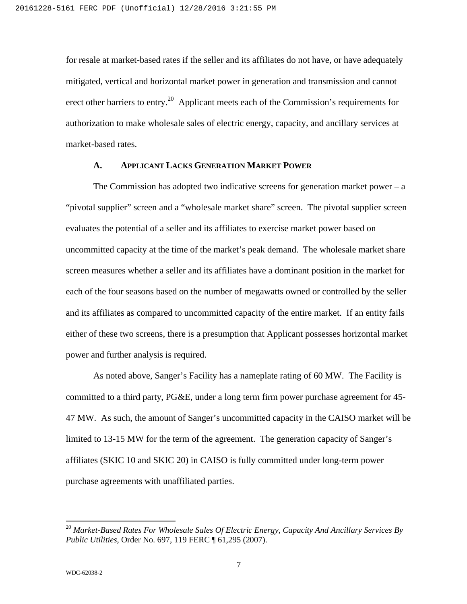for resale at market-based rates if the seller and its affiliates do not have, or have adequately mitigated, vertical and horizontal market power in generation and transmission and cannot erect other barriers to entry.<sup>20</sup> Applicant meets each of the Commission's requirements for authorization to make wholesale sales of electric energy, capacity, and ancillary services at market-based rates.

#### **A. APPLICANT LACKS GENERATION MARKET POWER**

The Commission has adopted two indicative screens for generation market power –  $a$ "pivotal supplier" screen and a "wholesale market share" screen. The pivotal supplier screen evaluates the potential of a seller and its affiliates to exercise market power based on uncommitted capacity at the time of the market's peak demand. The wholesale market share screen measures whether a seller and its affiliates have a dominant position in the market for each of the four seasons based on the number of megawatts owned or controlled by the seller and its affiliates as compared to uncommitted capacity of the entire market. If an entity fails either of these two screens, there is a presumption that Applicant possesses horizontal market power and further analysis is required.

As noted above, Sanger's Facility has a nameplate rating of 60 MW. The Facility is committed to a third party, PG&E, under a long term firm power purchase agreement for 45- 47 MW. As such, the amount of Sanger's uncommitted capacity in the CAISO market will be limited to 13-15 MW for the term of the agreement. The generation capacity of Sanger's affiliates (SKIC 10 and SKIC 20) in CAISO is fully committed under long-term power purchase agreements with unaffiliated parties.

<sup>20</sup> *Market-Based Rates For Wholesale Sales Of Electric Energy, Capacity And Ancillary Services By Public Utilities*, Order No. 697, 119 FERC ¶ 61,295 (2007).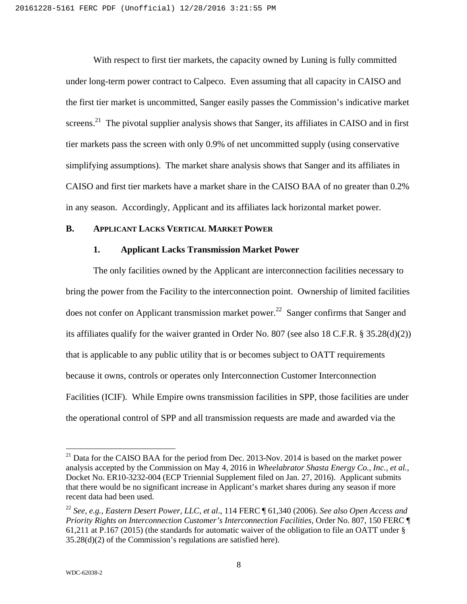With respect to first tier markets, the capacity owned by Luning is fully committed under long-term power contract to Calpeco. Even assuming that all capacity in CAISO and the first tier market is uncommitted, Sanger easily passes the Commission's indicative market screens.<sup>21</sup> The pivotal supplier analysis shows that Sanger, its affiliates in CAISO and in first tier markets pass the screen with only 0.9% of net uncommitted supply (using conservative simplifying assumptions). The market share analysis shows that Sanger and its affiliates in CAISO and first tier markets have a market share in the CAISO BAA of no greater than 0.2% in any season. Accordingly, Applicant and its affiliates lack horizontal market power.

### **B. APPLICANT LACKS VERTICAL MARKET POWER**

#### **1. Applicant Lacks Transmission Market Power**

The only facilities owned by the Applicant are interconnection facilities necessary to bring the power from the Facility to the interconnection point. Ownership of limited facilities does not confer on Applicant transmission market power.<sup>22</sup> Sanger confirms that Sanger and its affiliates qualify for the waiver granted in Order No. 807 (see also 18 C.F.R. § 35.28(d)(2)) that is applicable to any public utility that is or becomes subject to OATT requirements because it owns, controls or operates only Interconnection Customer Interconnection Facilities (ICIF). While Empire owns transmission facilities in SPP, those facilities are under the operational control of SPP and all transmission requests are made and awarded via the

 $^{21}$  Data for the CAISO BAA for the period from Dec. 2013-Nov. 2014 is based on the market power analysis accepted by the Commission on May 4, 2016 in *Wheelabrator Shasta Energy Co., Inc., et al.,* Docket No. ER10-3232-004 (ECP Triennial Supplement filed on Jan. 27, 2016). Applicant submits that there would be no significant increase in Applicant's market shares during any season if more recent data had been used.

<sup>22</sup> *See, e.g., Eastern Desert Power, LLC, et al*., 114 FERC ¶ 61,340 (2006). *See also Open Access and Priority Rights on Interconnection Customer's Interconnection Facilities*, Order No. 807, 150 FERC ¶ 61,211 at P.167 (2015) (the standards for automatic waiver of the obligation to file an OATT under § 35.28(d)(2) of the Commission's regulations are satisfied here).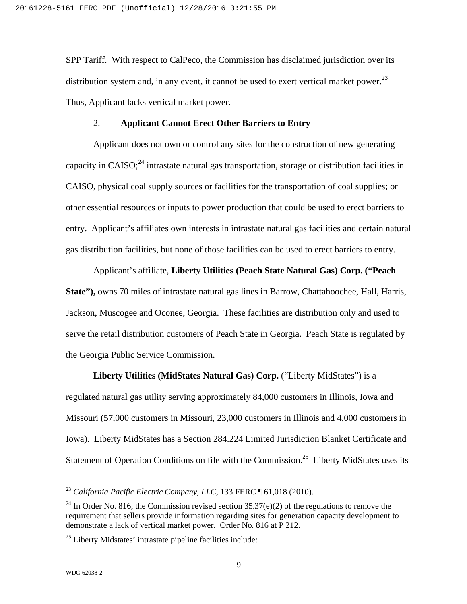SPP Tariff. With respect to CalPeco, the Commission has disclaimed jurisdiction over its distribution system and, in any event, it cannot be used to exert vertical market power.<sup>23</sup> Thus, Applicant lacks vertical market power.

#### 2. **Applicant Cannot Erect Other Barriers to Entry**

Applicant does not own or control any sites for the construction of new generating capacity in CAISO;<sup>24</sup> intrastate natural gas transportation, storage or distribution facilities in CAISO, physical coal supply sources or facilities for the transportation of coal supplies; or other essential resources or inputs to power production that could be used to erect barriers to entry. Applicant's affiliates own interests in intrastate natural gas facilities and certain natural gas distribution facilities, but none of those facilities can be used to erect barriers to entry.

Applicant's affiliate, **Liberty Utilities (Peach State Natural Gas) Corp. ("Peach State"),** owns 70 miles of intrastate natural gas lines in Barrow, Chattahoochee, Hall, Harris, Jackson, Muscogee and Oconee, Georgia. These facilities are distribution only and used to serve the retail distribution customers of Peach State in Georgia. Peach State is regulated by the Georgia Public Service Commission.

**Liberty Utilities (MidStates Natural Gas) Corp.** ("Liberty MidStates") is a regulated natural gas utility serving approximately 84,000 customers in Illinois, Iowa and Missouri (57,000 customers in Missouri, 23,000 customers in Illinois and 4,000 customers in Iowa). Liberty MidStates has a Section 284.224 Limited Jurisdiction Blanket Certificate and Statement of Operation Conditions on file with the Commission.<sup>25</sup> Liberty MidStates uses its

<sup>23</sup> *California Pacific Electric Company, LLC*, 133 FERC ¶ 61,018 (2010).

<sup>&</sup>lt;sup>24</sup> In Order No. 816, the Commission revised section  $35.37(e)(2)$  of the regulations to remove the requirement that sellers provide information regarding sites for generation capacity development to demonstrate a lack of vertical market power. Order No. 816 at P 212.

 $25$  Liberty Midstates' intrastate pipeline facilities include: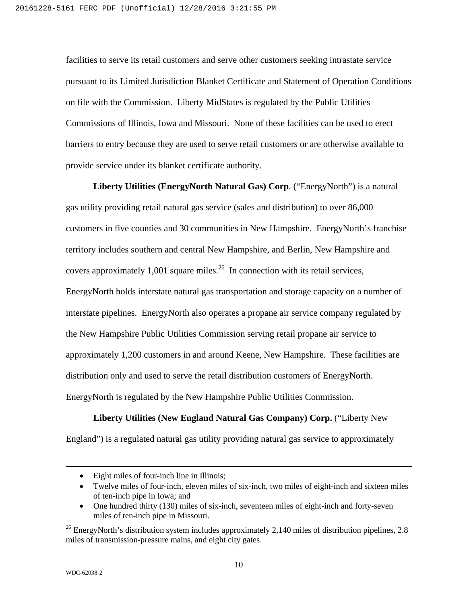facilities to serve its retail customers and serve other customers seeking intrastate service pursuant to its Limited Jurisdiction Blanket Certificate and Statement of Operation Conditions on file with the Commission. Liberty MidStates is regulated by the Public Utilities Commissions of Illinois, Iowa and Missouri. None of these facilities can be used to erect barriers to entry because they are used to serve retail customers or are otherwise available to provide service under its blanket certificate authority.

**Liberty Utilities (EnergyNorth Natural Gas) Corp**. ("EnergyNorth") is a natural gas utility providing retail natural gas service (sales and distribution) to over 86,000 customers in five counties and 30 communities in New Hampshire. EnergyNorth's franchise territory includes southern and central New Hampshire, and Berlin, New Hampshire and covers approximately 1,001 square miles.<sup>26</sup> In connection with its retail services, EnergyNorth holds interstate natural gas transportation and storage capacity on a number of interstate pipelines. EnergyNorth also operates a propane air service company regulated by the New Hampshire Public Utilities Commission serving retail propane air service to approximately 1,200 customers in and around Keene, New Hampshire. These facilities are distribution only and used to serve the retail distribution customers of EnergyNorth. EnergyNorth is regulated by the New Hampshire Public Utilities Commission.

# **Liberty Utilities (New England Natural Gas Company) Corp.** ("Liberty New

England") is a regulated natural gas utility providing natural gas service to approximately

- Twelve miles of four-inch, eleven miles of six-inch, two miles of eight-inch and sixteen miles of ten-inch pipe in Iowa; and
- One hundred thirty (130) miles of six-inch, seventeen miles of eight-inch and forty-seven miles of ten-inch pipe in Missouri.

Eight miles of four-inch line in Illinois;

 $26$  EnergyNorth's distribution system includes approximately 2,140 miles of distribution pipelines, 2.8 miles of transmission-pressure mains, and eight city gates.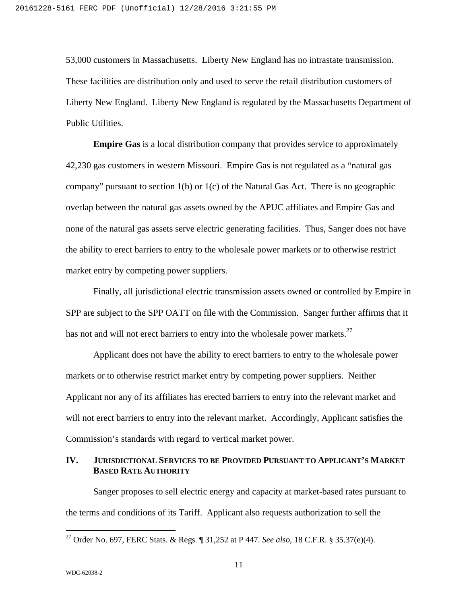53,000 customers in Massachusetts. Liberty New England has no intrastate transmission. These facilities are distribution only and used to serve the retail distribution customers of Liberty New England. Liberty New England is regulated by the Massachusetts Department of Public Utilities.

**Empire Gas** is a local distribution company that provides service to approximately 42,230 gas customers in western Missouri. Empire Gas is not regulated as a "natural gas company" pursuant to section 1(b) or 1(c) of the Natural Gas Act. There is no geographic overlap between the natural gas assets owned by the APUC affiliates and Empire Gas and none of the natural gas assets serve electric generating facilities. Thus, Sanger does not have the ability to erect barriers to entry to the wholesale power markets or to otherwise restrict market entry by competing power suppliers.

Finally, all jurisdictional electric transmission assets owned or controlled by Empire in SPP are subject to the SPP OATT on file with the Commission. Sanger further affirms that it has not and will not erect barriers to entry into the wholesale power markets.<sup>27</sup>

Applicant does not have the ability to erect barriers to entry to the wholesale power markets or to otherwise restrict market entry by competing power suppliers. Neither Applicant nor any of its affiliates has erected barriers to entry into the relevant market and will not erect barriers to entry into the relevant market. Accordingly, Applicant satisfies the Commission's standards with regard to vertical market power.

# **IV. JURISDICTIONAL SERVICES TO BE PROVIDED PURSUANT TO APPLICANT'S MARKET BASED RATE AUTHORITY**

Sanger proposes to sell electric energy and capacity at market-based rates pursuant to the terms and conditions of its Tariff. Applicant also requests authorization to sell the

<sup>27</sup> Order No. 697, FERC Stats. & Regs. ¶ 31,252 at P 447. *See also*, 18 C.F.R. § 35.37(e)(4).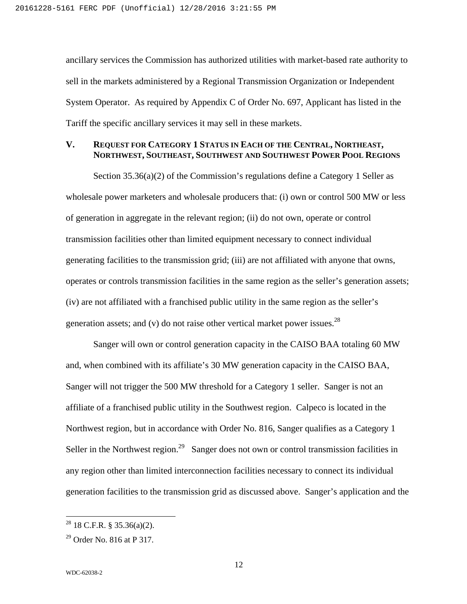ancillary services the Commission has authorized utilities with market-based rate authority to sell in the markets administered by a Regional Transmission Organization or Independent System Operator. As required by Appendix C of Order No. 697, Applicant has listed in the Tariff the specific ancillary services it may sell in these markets.

# **V. REQUEST FOR CATEGORY 1 STATUS IN EACH OF THE CENTRAL, NORTHEAST, NORTHWEST, SOUTHEAST, SOUTHWEST AND SOUTHWEST POWER POOL REGIONS**

Section 35.36(a)(2) of the Commission's regulations define a Category 1 Seller as wholesale power marketers and wholesale producers that: (i) own or control 500 MW or less of generation in aggregate in the relevant region; (ii) do not own, operate or control transmission facilities other than limited equipment necessary to connect individual generating facilities to the transmission grid; (iii) are not affiliated with anyone that owns, operates or controls transmission facilities in the same region as the seller's generation assets; (iv) are not affiliated with a franchised public utility in the same region as the seller's generation assets; and (v) do not raise other vertical market power issues.<sup>28</sup>

Sanger will own or control generation capacity in the CAISO BAA totaling 60 MW and, when combined with its affiliate's 30 MW generation capacity in the CAISO BAA, Sanger will not trigger the 500 MW threshold for a Category 1 seller. Sanger is not an affiliate of a franchised public utility in the Southwest region. Calpeco is located in the Northwest region, but in accordance with Order No. 816, Sanger qualifies as a Category 1 Seller in the Northwest region.<sup>29</sup> Sanger does not own or control transmission facilities in any region other than limited interconnection facilities necessary to connect its individual generation facilities to the transmission grid as discussed above. Sanger's application and the

 $28$  18 C.F.R. § 35.36(a)(2).

 $29$  Order No. 816 at P 317.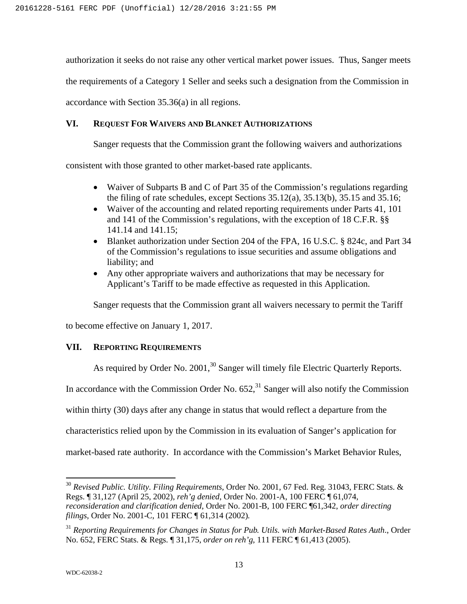authorization it seeks do not raise any other vertical market power issues. Thus, Sanger meets

the requirements of a Category 1 Seller and seeks such a designation from the Commission in

accordance with Section 35.36(a) in all regions.

### **VI. REQUEST FOR WAIVERS AND BLANKET AUTHORIZATIONS**

Sanger requests that the Commission grant the following waivers and authorizations

consistent with those granted to other market-based rate applicants.

- Waiver of Subparts B and C of Part 35 of the Commission's regulations regarding the filing of rate schedules, except Sections 35.12(a), 35.13(b), 35.15 and 35.16;
- Waiver of the accounting and related reporting requirements under Parts 41, 101 and 141 of the Commission's regulations, with the exception of 18 C.F.R. §§ 141.14 and 141.15;
- Blanket authorization under Section 204 of the FPA, 16 U.S.C. § 824c, and Part 34 of the Commission's regulations to issue securities and assume obligations and liability; and
- Any other appropriate waivers and authorizations that may be necessary for Applicant's Tariff to be made effective as requested in this Application.

Sanger requests that the Commission grant all waivers necessary to permit the Tariff

to become effective on January 1, 2017.

# **VII. REPORTING REQUIREMENTS**

As required by Order No. 2001,<sup>30</sup> Sanger will timely file Electric Quarterly Reports.

In accordance with the Commission Order No.  $652<sup>31</sup>$  Sanger will also notify the Commission

within thirty (30) days after any change in status that would reflect a departure from the

characteristics relied upon by the Commission in its evaluation of Sanger's application for

market-based rate authority. In accordance with the Commission's Market Behavior Rules,

<sup>30</sup> *Revised Public. Utility. Filing Requirements*, Order No. 2001, 67 Fed. Reg. 31043, FERC Stats. & Regs. ¶ 31,127 (April 25, 2002), *reh'g denied*, Order No. 2001-A, 100 FERC ¶ 61,074, *reconsideration and clarification denied*, Order No. 2001-B, 100 FERC ¶61,342, *order directing filings*, Order No. 2001-C, 101 FERC ¶ 61,314 (2002).

<sup>31</sup> *Reporting Requirements for Changes in Status for Pub. Utils. with Market-Based Rates Auth*., Order No. 652, FERC Stats. & Regs. ¶ 31,175, *order on reh'g*, 111 FERC ¶ 61,413 (2005).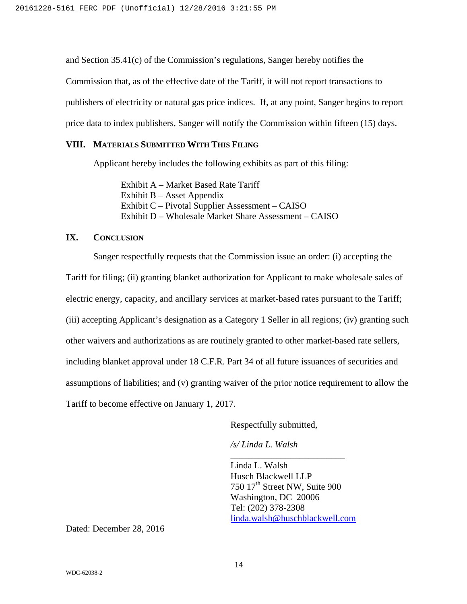and Section 35.41(c) of the Commission's regulations, Sanger hereby notifies the Commission that, as of the effective date of the Tariff, it will not report transactions to publishers of electricity or natural gas price indices. If, at any point, Sanger begins to report price data to index publishers, Sanger will notify the Commission within fifteen (15) days.

# **VIII. MATERIALS SUBMITTED WITH THIS FILING**

Applicant hereby includes the following exhibits as part of this filing:

Exhibit A – Market Based Rate Tariff Exhibit B – Asset Appendix Exhibit C – Pivotal Supplier Assessment – CAISO Exhibit D – Wholesale Market Share Assessment – CAISO

# **IX. CONCLUSION**

Sanger respectfully requests that the Commission issue an order: (i) accepting the Tariff for filing; (ii) granting blanket authorization for Applicant to make wholesale sales of electric energy, capacity, and ancillary services at market-based rates pursuant to the Tariff; (iii) accepting Applicant's designation as a Category 1 Seller in all regions; (iv) granting such other waivers and authorizations as are routinely granted to other market-based rate sellers, including blanket approval under 18 C.F.R. Part 34 of all future issuances of securities and assumptions of liabilities; and (v) granting waiver of the prior notice requirement to allow the Tariff to become effective on January 1, 2017.

Respectfully submitted,

*/s/ Linda L. Walsh*

Linda L. Walsh Husch Blackwell LLP 750 17<sup>th</sup> Street NW, Suite 900 Washington, DC 20006 Tel: (202) 378-2308 linda.walsh@huschblackwell.com

\_\_\_\_\_\_\_\_\_\_\_\_\_\_\_\_\_\_\_\_\_\_\_\_\_

Dated: December 28, 2016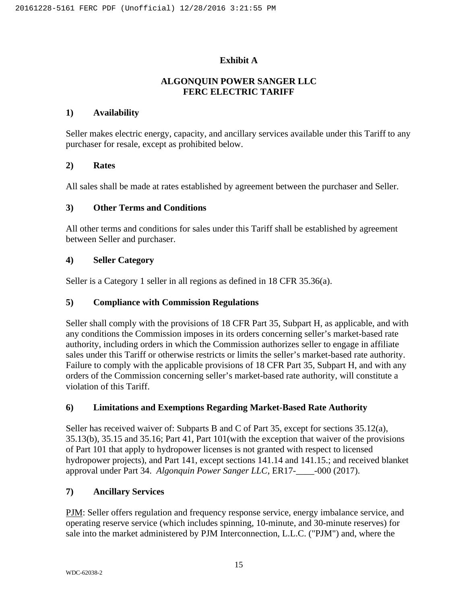# **Exhibit A**

# **ALGONQUIN POWER SANGER LLC FERC ELECTRIC TARIFF**

# **1) Availability**

Seller makes electric energy, capacity, and ancillary services available under this Tariff to any purchaser for resale, except as prohibited below.

## **2) Rates**

All sales shall be made at rates established by agreement between the purchaser and Seller.

# **3) Other Terms and Conditions**

All other terms and conditions for sales under this Tariff shall be established by agreement between Seller and purchaser.

# **4) Seller Category**

Seller is a Category 1 seller in all regions as defined in 18 CFR 35.36(a).

# **5) Compliance with Commission Regulations**

Seller shall comply with the provisions of 18 CFR Part 35, Subpart H, as applicable, and with any conditions the Commission imposes in its orders concerning seller's market-based rate authority, including orders in which the Commission authorizes seller to engage in affiliate sales under this Tariff or otherwise restricts or limits the seller's market-based rate authority. Failure to comply with the applicable provisions of 18 CFR Part 35, Subpart H, and with any orders of the Commission concerning seller's market-based rate authority, will constitute a violation of this Tariff.

# **6) Limitations and Exemptions Regarding Market-Based Rate Authority**

Seller has received waiver of: Subparts B and C of Part 35, except for sections 35.12(a), 35.13(b), 35.15 and 35.16; Part 41, Part 101(with the exception that waiver of the provisions of Part 101 that apply to hydropower licenses is not granted with respect to licensed hydropower projects), and Part 141, except sections 141.14 and 141.15.; and received blanket approval under Part 34. *Algonquin Power Sanger LLC*, ER17-\_\_\_\_-000 (2017).

# **7) Ancillary Services**

PJM: Seller offers regulation and frequency response service, energy imbalance service, and operating reserve service (which includes spinning, 10-minute, and 30-minute reserves) for sale into the market administered by PJM Interconnection, L.L.C. ("PJM") and, where the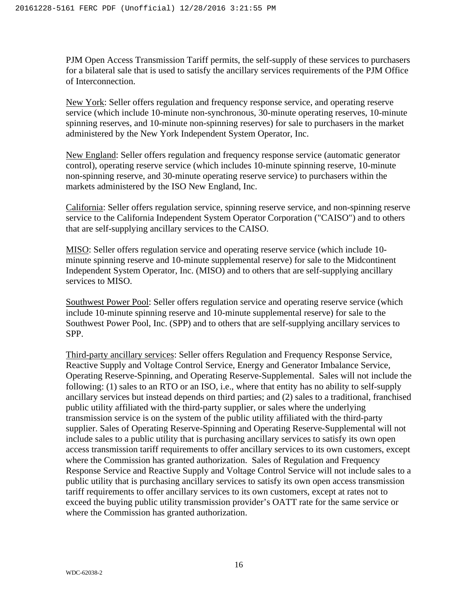PJM Open Access Transmission Tariff permits, the self-supply of these services to purchasers for a bilateral sale that is used to satisfy the ancillary services requirements of the PJM Office of Interconnection.

New York: Seller offers regulation and frequency response service, and operating reserve service (which include 10-minute non-synchronous, 30-minute operating reserves, 10-minute spinning reserves, and 10-minute non-spinning reserves) for sale to purchasers in the market administered by the New York Independent System Operator, Inc.

New England: Seller offers regulation and frequency response service (automatic generator control), operating reserve service (which includes 10-minute spinning reserve, 10-minute non-spinning reserve, and 30-minute operating reserve service) to purchasers within the markets administered by the ISO New England, Inc.

California: Seller offers regulation service, spinning reserve service, and non-spinning reserve service to the California Independent System Operator Corporation ("CAISO") and to others that are self-supplying ancillary services to the CAISO.

MISO: Seller offers regulation service and operating reserve service (which include 10 minute spinning reserve and 10-minute supplemental reserve) for sale to the Midcontinent Independent System Operator, Inc. (MISO) and to others that are self-supplying ancillary services to MISO.

Southwest Power Pool: Seller offers regulation service and operating reserve service (which include 10-minute spinning reserve and 10-minute supplemental reserve) for sale to the Southwest Power Pool, Inc. (SPP) and to others that are self-supplying ancillary services to SPP.

Third-party ancillary services: Seller offers Regulation and Frequency Response Service, Reactive Supply and Voltage Control Service, Energy and Generator Imbalance Service, Operating Reserve-Spinning, and Operating Reserve-Supplemental. Sales will not include the following: (1) sales to an RTO or an ISO, i.e., where that entity has no ability to self-supply ancillary services but instead depends on third parties; and (2) sales to a traditional, franchised public utility affiliated with the third-party supplier, or sales where the underlying transmission service is on the system of the public utility affiliated with the third-party supplier. Sales of Operating Reserve-Spinning and Operating Reserve-Supplemental will not include sales to a public utility that is purchasing ancillary services to satisfy its own open access transmission tariff requirements to offer ancillary services to its own customers, except where the Commission has granted authorization. Sales of Regulation and Frequency Response Service and Reactive Supply and Voltage Control Service will not include sales to a public utility that is purchasing ancillary services to satisfy its own open access transmission tariff requirements to offer ancillary services to its own customers, except at rates not to exceed the buying public utility transmission provider's OATT rate for the same service or where the Commission has granted authorization.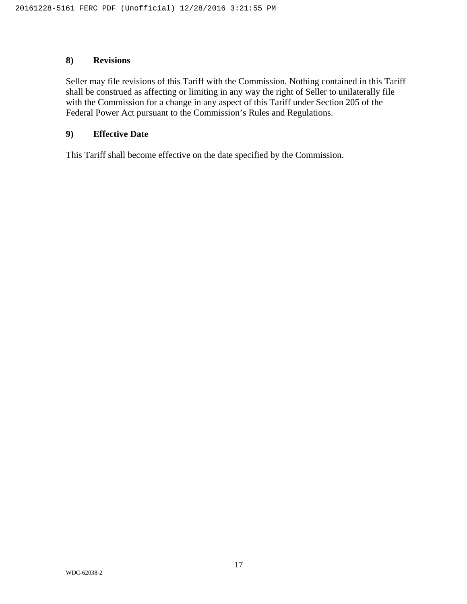# **8) Revisions**

Seller may file revisions of this Tariff with the Commission. Nothing contained in this Tariff shall be construed as affecting or limiting in any way the right of Seller to unilaterally file with the Commission for a change in any aspect of this Tariff under Section 205 of the Federal Power Act pursuant to the Commission's Rules and Regulations.

### **9) Effective Date**

This Tariff shall become effective on the date specified by the Commission.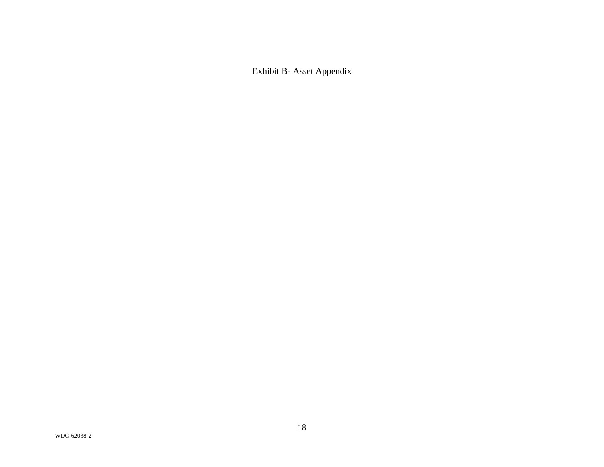Exhibit B- Asset Appendix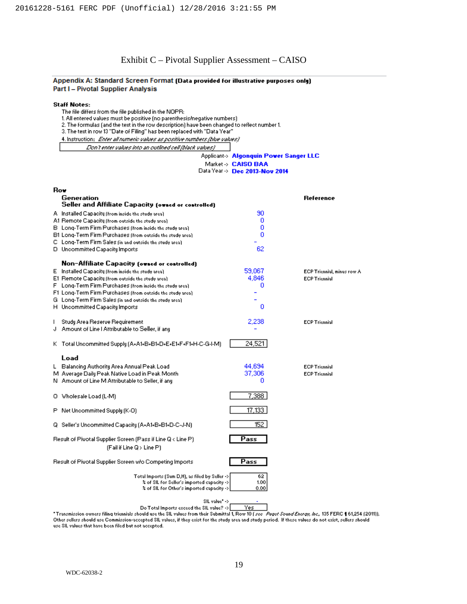# Exhibit C – Pivotal Supplier Assessment – CAISO

#### Appendix A: Standard Screen Format (Data provided for illustrative purposes only) Part I - Pivotal Supplier Analysis

|  | Staff Notes: |
|--|--------------|
|--|--------------|

- The file differs from the file published in the NOPR:
- 1. All entered values must be positive (no parenthesis/negative numbers)
- 2. The formulas (and the text in the row description) have been changed to reflect number 1.
- 3. The text in row 13 "Date of Filing" has been replaced with "Data Year"
- 4. Instruction: Enter all numeric values as positive numbers (blue values)
	- Don't enter values into an outlined cell (black values)

#### Applicant-> Algonquin Power Sanger LLC

Market > CAISO BAA

```
Data Year >> Dec 2013-Nov 2014
```

| Rov                                                                                                                                         |                     |                            |
|---------------------------------------------------------------------------------------------------------------------------------------------|---------------------|----------------------------|
| Generation<br>Seller and Affiliate Capacity (owned or controlled)                                                                           |                     | <b>Reference</b>           |
| A Installed Capacity (from inside the study area).                                                                                          | 90                  |                            |
| A1 Remote Capacity (from outside the study area).                                                                                           | 0                   |                            |
| B Long-Term Firm Purchases (from inside the study area)                                                                                     | ٥                   |                            |
| B1 Long-Term Firm Purchases (from outside the study area).                                                                                  | n                   |                            |
| C. Long-Term Firm Sales (in and outside the study area).                                                                                    |                     |                            |
| D Uncommitted Capacity Imports                                                                                                              | 62                  |                            |
| Non-Affiliate Capacity (owned or controlled)                                                                                                |                     |                            |
| E Installed Capacity (from inside the study area).                                                                                          | 59,067              | ECP Triennial, minus row A |
| E1 Remote Capacity (from outside the study area).                                                                                           | 4,846               | <b>ECP Triennial</b>       |
| F Long-Term Firm Purchases (from inside the study area).                                                                                    | 0                   |                            |
| F1 Long-Term Firm Purchases (from outside the study area).                                                                                  |                     |                            |
| G. Long-Term Firm Sales (in and outside the study area).                                                                                    |                     |                            |
| H Uncommitted Capacity Imports                                                                                                              | ٥                   |                            |
| Study Area Reserve Requirement<br>L                                                                                                         | 2,238               | <b>ECP Triennial</b>       |
| J Amount of Line   Attributable to Seller, if any                                                                                           |                     |                            |
| K Total Uncommitted Supply (A+A1+B+B1+D+E+E1+F+F1+H-C-G-I-M)                                                                                | 24,521              |                            |
| Load                                                                                                                                        |                     |                            |
| L Balancing Authority Area Annual Peak Load                                                                                                 | 44,694              | <b>ECP Triennial</b>       |
| M. Average Daily Peak Native Load in Peak Month.                                                                                            | 37,306              | <b>ECP Triennial</b>       |
| N Amount of Line M Attributable to Seller, if any                                                                                           | ٥                   |                            |
| Wholesale Load (L-M)<br>о.                                                                                                                  | 7,388               |                            |
|                                                                                                                                             |                     |                            |
| P Net Uncommitted Supply (K-O)                                                                                                              | 17,133              |                            |
| Q Seller's Uncommitted Capacity (A+A1+B+B1+D-C-J-N)                                                                                         | 152                 |                            |
| Result of Pivotal Supplier Screen (Pass if Line Q < Line P).<br>(Fail if Line Q > Line P)                                                   | Pass                |                            |
| Result of Pivotal Supplier Screen w/o Competing Imports                                                                                     | Pass                |                            |
| Total Imports (Sum D,H), as filed by Seller ->  <br>% of SIL for Seller's imported capacity -><br>% of SIL for Other's imported capacity -> | 62.<br>1.00<br>0.00 |                            |
| Officer foot and                                                                                                                            |                     |                            |



"Transmission owners filing triennials should use the SIL values from their Submittal 1, Row 10 [see Puget Sound Energy, Inc., 135 FERC 1 61,254 [2011]]. Other sellers should use Commission-accepted SIL values, if they exist for the study area and study period. If these values do not exist, sellers should use SIL values that have been filed but not accepted.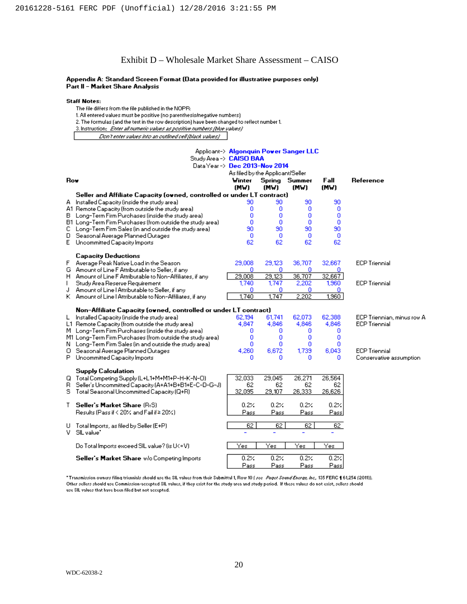### Exhibit D – Wholesale Market Share Assessment – CAISO

#### Appendix A: Standard Screen Format (Data provided for illustrative purposes only) Part II - Market Share Analysis

#### **Staff Notes:**

- The file differs from the file published in the NOPR:
- 1. All entered values must be positive (no parenthesis/negative numbers)
- 2. The formulas (and the text in the row description) have been changed to reflect number 1.
- 3. Instruction: Enter all numeric values as positive numbers (blue values)

Don't enter values into an outlined cell (black values)

|     | Study Area -> CAISO BAA<br>Data Year -> Dec 2013-Nov 2014              | Applicant-> Algonquin Power Sanger LLC<br>As filed by the Applicant/Seller |                              |                          |                              |                            |
|-----|------------------------------------------------------------------------|----------------------------------------------------------------------------|------------------------------|--------------------------|------------------------------|----------------------------|
| Row |                                                                        | Winter<br>(MW)                                                             | Spring<br>(MW)               | Summer<br>(MW)           | Fall<br>(MW)                 | Reference                  |
|     | Seller and Affiliate Capacity (owned, controlled or under LT contract) |                                                                            |                              |                          |                              |                            |
|     | A Installed Capacity (inside the study area)                           | 90                                                                         | 90                           | 90                       | 90                           |                            |
|     | A1 Remote Capacity (from outside the study area)                       | o                                                                          | o                            | o                        | 0                            |                            |
| в.  | Long-Term Firm Purchases (inside the study area)                       | o                                                                          | o                            | Ω                        | 0                            |                            |
|     | B1 Long-Term Firm Purchases (from outside the study area)              | n                                                                          | n                            | n                        | n                            |                            |
| c.  | Long-Term Firm Sales (in and outside the study area)                   | 90                                                                         | 90                           | 90                       | 90                           |                            |
| D.  | Seasonal Average Planned Outages                                       | 0                                                                          | 0                            | 0                        | 0                            |                            |
| E   | Uncommitted Capacity Imports                                           | 62                                                                         | 62                           | 62                       | 62                           |                            |
|     | <b>Capacity Deductions</b>                                             |                                                                            |                              |                          |                              |                            |
| F   | Average Peak Native Load in the Season                                 | 29,008                                                                     | 29,123                       | 36,707                   | 32,667                       | <b>ECP Triennial</b>       |
|     | G Amount of Line F Attributable to Seller, if any                      | ٥                                                                          | ٥                            | o                        | n.                           |                            |
|     | H Amount of Line F Attributable to Non-Affiliates, if any              | 29,008                                                                     | 29,123                       | 36,707                   | 32,667                       |                            |
| L   | Study Area Reserve Requirement                                         | 1.740                                                                      | 1,747                        | 2,202                    | 1,960                        | <b>ECP Triennial</b>       |
| J   | Amount of Line   Attributable to Seller, if any                        | 0                                                                          | 0                            | o                        | Ω                            |                            |
|     | K Amount of Line   Attributable to Non-Affiliates, if any              | 1,740                                                                      | 1,747                        | 2,202                    | 1,960                        |                            |
|     |                                                                        |                                                                            |                              |                          |                              |                            |
|     | Non-Affiliate Capacity (owned, controlled or under LT contract)        |                                                                            |                              |                          |                              |                            |
|     | L Installed Capacity (inside the study area)                           | 62,194                                                                     | 61,741                       | 62,073                   | 62,388                       | ECP Triennian, minus row A |
|     | L1 Remote Capacity (from outside the study area)                       | 4,847                                                                      | 4,846                        | 4,846                    | 4,846                        | <b>ECP Triennial</b>       |
|     | M Long-Term Firm Purchases (inside the study area)                     | 0                                                                          | ٥                            | 0                        | 0                            |                            |
|     | M1 Long-Term Firm Purchases (from outside the study area)              | ۵                                                                          | ۵                            | ۵                        | ٥                            |                            |
|     | N Long-Term Firm Sales (in and outside the study area)                 | 0                                                                          | ٥                            | o                        | ٥                            |                            |
|     | O Seasonal Average Planned Outages                                     | 4,260                                                                      | 6.672                        | 1,739                    | 6.043                        | <b>ECP Triennial</b>       |
|     | P Uncommitted Capacity Imports                                         | o                                                                          | Ω                            | Ω                        | Ω                            | Conservative assumption    |
|     | <b>Supply Calculation</b>                                              |                                                                            |                              |                          |                              |                            |
|     | Q Total Competing Supply (L+L1+M+M1+P-H-K-N-O)                         | 32,033                                                                     | 29,045                       | 26,271                   | 26,564                       |                            |
| B.  | Seller's Uncommitted Capacity (A+A1+B+B1+E-C-D-G-J)                    | 62                                                                         | 62                           | 62                       | 62                           |                            |
|     | S Total Seasonal Uncommitted Capacity (Q+R)                            | 32,095                                                                     | 29,107                       | 26,333                   | 26,626                       |                            |
|     |                                                                        |                                                                            |                              |                          |                              |                            |
| T.  | Seller's Market Share (R+S)                                            | 0.2%                                                                       | 0.2%                         | 0.2%                     | 0.2%                         |                            |
|     | Results (Pass if < 20% and Fail if≥ 20%)                               | Pass                                                                       | Pass                         | Pass                     | Pass                         |                            |
| U.  | Total Imports, as filed by Seller (E+P)                                | 62                                                                         | 62                           | 62                       | 62                           |                            |
| v.  | SIL value"                                                             | L.                                                                         |                              | $\overline{\phantom{0}}$ |                              |                            |
|     | Do Total Imports exceed SIL value? (is U<=V)                           | Yes                                                                        | $\overline{Y}_{\mathsf{es}}$ | Yes                      | $\overline{Y}_{\mathsf{es}}$ |                            |
|     |                                                                        |                                                                            |                              |                          |                              |                            |
|     | Seller's Market Share w/o Competing Imports                            | 0.2%                                                                       | 0.2%                         | 0.2%                     | 0.2%                         |                            |
|     |                                                                        | Pass                                                                       | Pass                         | Pass                     | Pass                         |                            |

\* Transmission owners filing triennials should use the SIL values from their Submittal 1, Row 10 (see Puget Sound Energy, Inc., 135 FERC 1 61,254 (2011)). Other sellers should use Commission-accepted SIL values, if they exist for the study area and study period. If these values do not exist, sellers should use SIL values that have been filed but not accepted.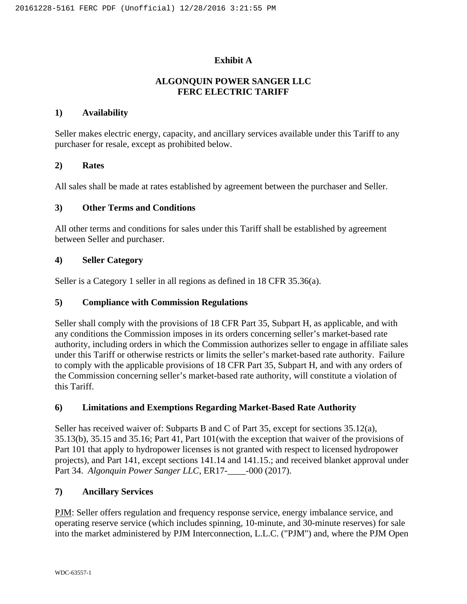# **Exhibit A**

# **ALGONQUIN POWER SANGER LLC FERC ELECTRIC TARIFF**

### **1) Availability**

Seller makes electric energy, capacity, and ancillary services available under this Tariff to any purchaser for resale, except as prohibited below.

### **2) Rates**

All sales shall be made at rates established by agreement between the purchaser and Seller.

## **3) Other Terms and Conditions**

All other terms and conditions for sales under this Tariff shall be established by agreement between Seller and purchaser.

## **4) Seller Category**

Seller is a Category 1 seller in all regions as defined in 18 CFR 35.36(a).

### **5) Compliance with Commission Regulations**

Seller shall comply with the provisions of 18 CFR Part 35, Subpart H, as applicable, and with any conditions the Commission imposes in its orders concerning seller's market-based rate authority, including orders in which the Commission authorizes seller to engage in affiliate sales under this Tariff or otherwise restricts or limits the seller's market-based rate authority. Failure to comply with the applicable provisions of 18 CFR Part 35, Subpart H, and with any orders of the Commission concerning seller's market-based rate authority, will constitute a violation of this Tariff.

### **6) Limitations and Exemptions Regarding Market-Based Rate Authority**

Seller has received waiver of: Subparts B and C of Part 35, except for sections 35.12(a), 35.13(b), 35.15 and 35.16; Part 41, Part 101(with the exception that waiver of the provisions of Part 101 that apply to hydropower licenses is not granted with respect to licensed hydropower projects), and Part 141, except sections 141.14 and 141.15.; and received blanket approval under Part 34. *Algonquin Power Sanger LLC*, ER17- -000 (2017).

### **7) Ancillary Services**

PJM: Seller offers regulation and frequency response service, energy imbalance service, and operating reserve service (which includes spinning, 10-minute, and 30-minute reserves) for sale into the market administered by PJM Interconnection, L.L.C. ("PJM") and, where the PJM Open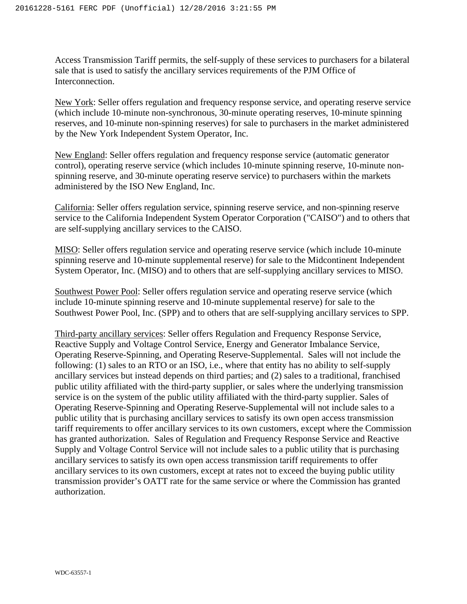Access Transmission Tariff permits, the self-supply of these services to purchasers for a bilateral sale that is used to satisfy the ancillary services requirements of the PJM Office of Interconnection.

New York: Seller offers regulation and frequency response service, and operating reserve service (which include 10-minute non-synchronous, 30-minute operating reserves, 10-minute spinning reserves, and 10-minute non-spinning reserves) for sale to purchasers in the market administered by the New York Independent System Operator, Inc.

New England: Seller offers regulation and frequency response service (automatic generator control), operating reserve service (which includes 10-minute spinning reserve, 10-minute nonspinning reserve, and 30-minute operating reserve service) to purchasers within the markets administered by the ISO New England, Inc.

California: Seller offers regulation service, spinning reserve service, and non-spinning reserve service to the California Independent System Operator Corporation ("CAISO") and to others that are self-supplying ancillary services to the CAISO.

MISO: Seller offers regulation service and operating reserve service (which include 10-minute spinning reserve and 10-minute supplemental reserve) for sale to the Midcontinent Independent System Operator, Inc. (MISO) and to others that are self-supplying ancillary services to MISO.

Southwest Power Pool: Seller offers regulation service and operating reserve service (which include 10-minute spinning reserve and 10-minute supplemental reserve) for sale to the Southwest Power Pool, Inc. (SPP) and to others that are self-supplying ancillary services to SPP.

Third-party ancillary services: Seller offers Regulation and Frequency Response Service, Reactive Supply and Voltage Control Service, Energy and Generator Imbalance Service, Operating Reserve-Spinning, and Operating Reserve-Supplemental. Sales will not include the following: (1) sales to an RTO or an ISO, i.e., where that entity has no ability to self-supply ancillary services but instead depends on third parties; and (2) sales to a traditional, franchised public utility affiliated with the third-party supplier, or sales where the underlying transmission service is on the system of the public utility affiliated with the third-party supplier. Sales of Operating Reserve-Spinning and Operating Reserve-Supplemental will not include sales to a public utility that is purchasing ancillary services to satisfy its own open access transmission tariff requirements to offer ancillary services to its own customers, except where the Commission has granted authorization. Sales of Regulation and Frequency Response Service and Reactive Supply and Voltage Control Service will not include sales to a public utility that is purchasing ancillary services to satisfy its own open access transmission tariff requirements to offer ancillary services to its own customers, except at rates not to exceed the buying public utility transmission provider's OATT rate for the same service or where the Commission has granted authorization.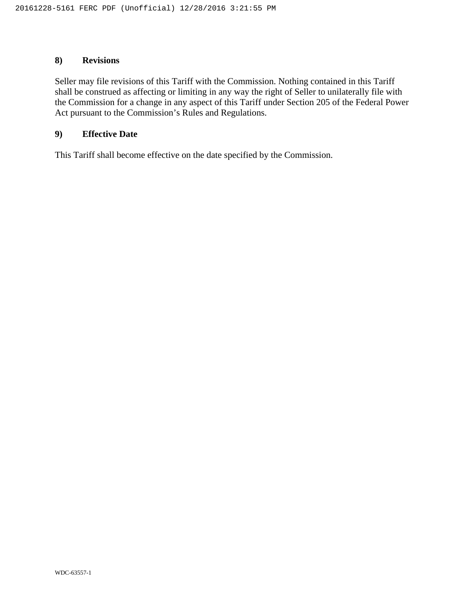# **8) Revisions**

Seller may file revisions of this Tariff with the Commission. Nothing contained in this Tariff shall be construed as affecting or limiting in any way the right of Seller to unilaterally file with the Commission for a change in any aspect of this Tariff under Section 205 of the Federal Power Act pursuant to the Commission's Rules and Regulations.

### **9) Effective Date**

This Tariff shall become effective on the date specified by the Commission.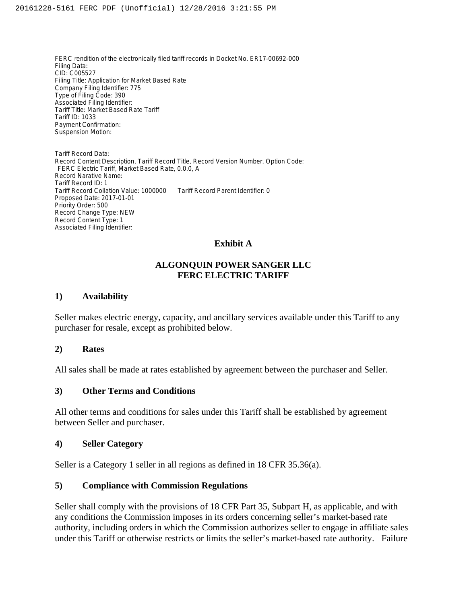FERC rendition of the electronically filed tariff records in Docket No. ER17-00692-000 Filing Data: CID: C005527 Filing Title: Application for Market Based Rate Company Filing Identifier: 775 Type of Filing Code: 390 Associated Filing Identifier: Tariff Title: Market Based Rate Tariff Tariff ID: 1033 Payment Confirmation: Suspension Motion:

Tariff Record Data: Record Content Description, Tariff Record Title, Record Version Number, Option Code: FERC Electric Tariff, Market Based Rate, 0.0.0, A Record Narative Name: Tariff Record ID: 1 Tariff Record Collation Value: 1000000 Tariff Record Parent Identifier: 0 Proposed Date: 2017-01-01 Priority Order: 500 Record Change Type: NEW Record Content Type: 1 Associated Filing Identifier:

## **Exhibit A**

# **ALGONQUIN POWER SANGER LLC FERC ELECTRIC TARIFF**

### **1) Availability**

Seller makes electric energy, capacity, and ancillary services available under this Tariff to any purchaser for resale, except as prohibited below.

### **2) Rates**

All sales shall be made at rates established by agreement between the purchaser and Seller.

## **3) Other Terms and Conditions**

All other terms and conditions for sales under this Tariff shall be established by agreement between Seller and purchaser.

### **4) Seller Category**

Seller is a Category 1 seller in all regions as defined in 18 CFR 35.36(a).

### **5) Compliance with Commission Regulations**

Seller shall comply with the provisions of 18 CFR Part 35, Subpart H, as applicable, and with any conditions the Commission imposes in its orders concerning seller's market-based rate authority, including orders in which the Commission authorizes seller to engage in affiliate sales under this Tariff or otherwise restricts or limits the seller's market-based rate authority. Failure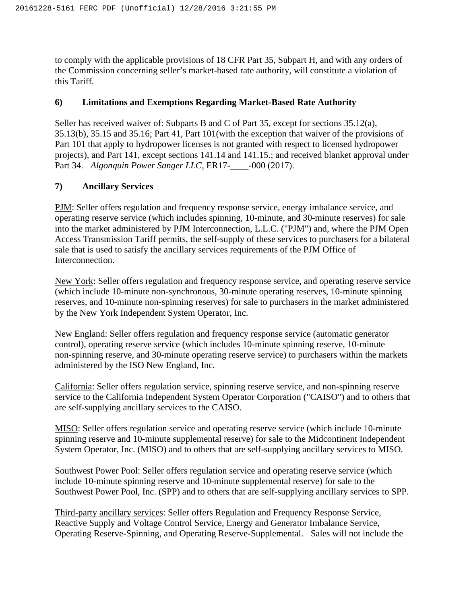to comply with the applicable provisions of 18 CFR Part 35, Subpart H, and with any orders of the Commission concerning seller's market-based rate authority, will constitute a violation of this Tariff.

# **6) Limitations and Exemptions Regarding Market-Based Rate Authority**

Seller has received waiver of: Subparts B and C of Part 35, except for sections 35.12(a), 35.13(b), 35.15 and 35.16; Part 41, Part 101(with the exception that waiver of the provisions of Part 101 that apply to hydropower licenses is not granted with respect to licensed hydropower projects), and Part 141, except sections 141.14 and 141.15.; and received blanket approval under Part 34. *Algonquin Power Sanger LLC*, ER17-\_\_\_\_-000 (2017).

# **7) Ancillary Services**

PJM: Seller offers regulation and frequency response service, energy imbalance service, and operating reserve service (which includes spinning, 10-minute, and 30-minute reserves) for sale into the market administered by PJM Interconnection, L.L.C. ("PJM") and, where the PJM Open Access Transmission Tariff permits, the self-supply of these services to purchasers for a bilateral sale that is used to satisfy the ancillary services requirements of the PJM Office of Interconnection.

New York: Seller offers regulation and frequency response service, and operating reserve service (which include 10-minute non-synchronous, 30-minute operating reserves, 10-minute spinning reserves, and 10-minute non-spinning reserves) for sale to purchasers in the market administered by the New York Independent System Operator, Inc.

New England: Seller offers regulation and frequency response service (automatic generator control), operating reserve service (which includes 10-minute spinning reserve, 10-minute non-spinning reserve, and 30-minute operating reserve service) to purchasers within the markets administered by the ISO New England, Inc.

California: Seller offers regulation service, spinning reserve service, and non-spinning reserve service to the California Independent System Operator Corporation ("CAISO") and to others that are self-supplying ancillary services to the CAISO.

MISO: Seller offers regulation service and operating reserve service (which include 10-minute spinning reserve and 10-minute supplemental reserve) for sale to the Midcontinent Independent System Operator, Inc. (MISO) and to others that are self-supplying ancillary services to MISO.

Southwest Power Pool: Seller offers regulation service and operating reserve service (which include 10-minute spinning reserve and 10-minute supplemental reserve) for sale to the Southwest Power Pool, Inc. (SPP) and to others that are self-supplying ancillary services to SPP.

Third-party ancillary services: Seller offers Regulation and Frequency Response Service, Reactive Supply and Voltage Control Service, Energy and Generator Imbalance Service, Operating Reserve-Spinning, and Operating Reserve-Supplemental. Sales will not include the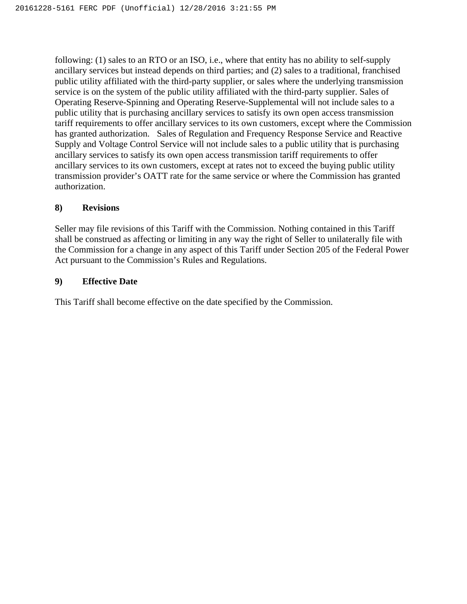following: (1) sales to an RTO or an ISO, i.e., where that entity has no ability to self-supply ancillary services but instead depends on third parties; and (2) sales to a traditional, franchised public utility affiliated with the third-party supplier, or sales where the underlying transmission service is on the system of the public utility affiliated with the third-party supplier. Sales of Operating Reserve-Spinning and Operating Reserve-Supplemental will not include sales to a public utility that is purchasing ancillary services to satisfy its own open access transmission tariff requirements to offer ancillary services to its own customers, except where the Commission has granted authorization. Sales of Regulation and Frequency Response Service and Reactive Supply and Voltage Control Service will not include sales to a public utility that is purchasing ancillary services to satisfy its own open access transmission tariff requirements to offer ancillary services to its own customers, except at rates not to exceed the buying public utility transmission provider's OATT rate for the same service or where the Commission has granted authorization.

# **8) Revisions**

Seller may file revisions of this Tariff with the Commission. Nothing contained in this Tariff shall be construed as affecting or limiting in any way the right of Seller to unilaterally file with the Commission for a change in any aspect of this Tariff under Section 205 of the Federal Power Act pursuant to the Commission's Rules and Regulations.

# **9) Effective Date**

This Tariff shall become effective on the date specified by the Commission.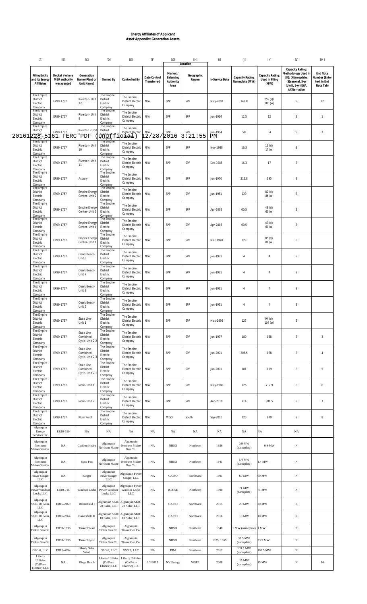# **Energy Affiliates of Applicant Asset Appendix: Generation Assets**

| $[{\sf A}]$                                          | $[{\sf B}]$                                    | [C]                                        | $[{\mathsf{D}}]$                                       | $[{\sf E}]$                                                 |                             | [G]                                        | $[H] \centering% \includegraphics[width=1.0\textwidth]{Figures/PN1.png} \caption{The 3D (blue) and 4D (blue) are shown in the left and right. The left is the same as in the right.} \label{fig7}$<br>Location | $[1] % \centering \includegraphics[width=0.9\textwidth]{images/TrDiM-Architecture.png} % \caption{The first two different values of $S$ and $S$ is the same as in Figure \ref{fig:10}. The first two different values of $S$ is the same as in Figure \ref{fig:10}. The second two different values of $S$ is the same as in Figure \ref{fig:10}.} \label{fig:TrDiM-Architecture}$ | $\left[ \mathsf{J}\right] % \begin{center} \includegraphics[width=0.9\textwidth]{Figures/PN1.png} \end{center} % \vspace{-1em} \caption{The average number of different values of the number of different values of the number of different values of the number of different values of the number of different values of the number of different values of the number of different values of the number of different values of the number of different values of the number of different values of the number of different values of the number of different values of the number of different values of the number of different values of the number of different values of the number of different values of the number of different values of the number of different values of the number of different values of the number of different values of the number of different values of the number of different values of the number of different values of the number of different values of the number of different values of the number of different values of the number of different values of the number of different$ | $[\mathsf{K}]$                             | $\left[ \text{L} \right]$                                                                                                | $[{\sf M}]$                                                  |
|------------------------------------------------------|------------------------------------------------|--------------------------------------------|--------------------------------------------------------|-------------------------------------------------------------|-----------------------------|--------------------------------------------|----------------------------------------------------------------------------------------------------------------------------------------------------------------------------------------------------------------|------------------------------------------------------------------------------------------------------------------------------------------------------------------------------------------------------------------------------------------------------------------------------------------------------------------------------------------------------------------------------------|--------------------------------------------------------------------------------------------------------------------------------------------------------------------------------------------------------------------------------------------------------------------------------------------------------------------------------------------------------------------------------------------------------------------------------------------------------------------------------------------------------------------------------------------------------------------------------------------------------------------------------------------------------------------------------------------------------------------------------------------------------------------------------------------------------------------------------------------------------------------------------------------------------------------------------------------------------------------------------------------------------------------------------------------------------------------------------------------------------------------------------|--------------------------------------------|--------------------------------------------------------------------------------------------------------------------------|--------------------------------------------------------------|
| <b>Filing Entity</b><br>and its Energy<br>Affiliates | Docket # where<br>MBR authority<br>was granted | Generation<br>Name (Plant or<br>Unit Name) | Owned By                                               | Controlled By                                               | Date Control<br>Transferred | Market /<br>Balancing<br>Authority<br>Area | Geographic<br>Region                                                                                                                                                                                           | In-Service Date                                                                                                                                                                                                                                                                                                                                                                    | Capacity Rating:<br>Nameplate (MW)                                                                                                                                                                                                                                                                                                                                                                                                                                                                                                                                                                                                                                                                                                                                                                                                                                                                                                                                                                                                                                                                                             | Capacity Rating:<br>Used in Filing<br>(MW) | Capacity Rating:<br>Methodology Used in<br>[K]: (N)ameplate,<br>(S)easonal, 5-yr<br>(U)nit, 5-yr (E)IA,<br>(A)Iternative | <b>End Note</b><br>Number (Enter<br>text in End<br>Note Tab) |
| The Empire<br>District<br>Electric<br>Company        | ER99-1757                                      | Riverton- Unit<br>12                       | The Empire<br>District<br>Electric<br>Company          | The Empire<br><b>District Electric</b><br>Company           | N/A                         | SPP                                        | SPP                                                                                                                                                                                                            | May-2007                                                                                                                                                                                                                                                                                                                                                                           | 148.8                                                                                                                                                                                                                                                                                                                                                                                                                                                                                                                                                                                                                                                                                                                                                                                                                                                                                                                                                                                                                                                                                                                          | $255 (s)$ /<br>285 (w)                     | $\mathsf S$                                                                                                              | 12                                                           |
| The Empire<br>District<br>Electric<br>Company        | ER99-1757                                      | Riverton- Unit                             | The Empire<br>District<br>Electric<br>Company          | The Empire<br><b>District Electric</b><br>Company           | N/A                         | SPP                                        | SPP                                                                                                                                                                                                            | Jun-1964                                                                                                                                                                                                                                                                                                                                                                           | 12.5                                                                                                                                                                                                                                                                                                                                                                                                                                                                                                                                                                                                                                                                                                                                                                                                                                                                                                                                                                                                                                                                                                                           | 12                                         | S                                                                                                                        | $\mathbf{1}$                                                 |
| The Empire<br>District<br>201612 <i>Electric_5</i>   | ER99-1757<br>61 FERC                           | Riverton - Unit<br>${}^{8}$ PDF            | The Empire<br>District<br><b>Ufficitie</b> fi          | The Empire<br><b>District Electric</b><br>$c$ dinearily $)$ | N/A<br>12/28/2016           | SPP                                        | SPP<br>3:21:55                                                                                                                                                                                                 | Jun-1954<br>PМ                                                                                                                                                                                                                                                                                                                                                                     | 50                                                                                                                                                                                                                                                                                                                                                                                                                                                                                                                                                                                                                                                                                                                                                                                                                                                                                                                                                                                                                                                                                                                             | 54                                         | S                                                                                                                        | $\overline{2}$                                               |
| The Empire<br>District<br>Electric<br>Company        | ER99-1757                                      | Riverton- Unit<br>10                       | The Empire<br>District<br>Electric<br>Company          | The Empire<br><b>District Electric</b><br>Company           | N/A                         | SPP                                        | SPP                                                                                                                                                                                                            | Nov-1988                                                                                                                                                                                                                                                                                                                                                                           | 16.3                                                                                                                                                                                                                                                                                                                                                                                                                                                                                                                                                                                                                                                                                                                                                                                                                                                                                                                                                                                                                                                                                                                           | 16 (s) /<br>17(w)                          | S                                                                                                                        |                                                              |
| The Empire<br>District<br>Electric<br>Company        | ER99-1757                                      | Riverton- Unit<br>11                       | The Empire<br>District<br>Electric<br>Company          | The Empire<br><b>District Electric</b><br>Company           | N/A                         | SPP                                        | SPP                                                                                                                                                                                                            | Dec-1988                                                                                                                                                                                                                                                                                                                                                                           | 16.3                                                                                                                                                                                                                                                                                                                                                                                                                                                                                                                                                                                                                                                                                                                                                                                                                                                                                                                                                                                                                                                                                                                           | 17                                         | $\mathsf S$                                                                                                              |                                                              |
| The Empire<br>District<br>Electric<br>Company        | ER99-1757                                      | Asbury                                     | The Empire<br>District<br>Electric<br>Company          | The Empire<br><b>District Electric</b><br>Company           | N/A                         | SPP                                        | SPP                                                                                                                                                                                                            | Jun-1970                                                                                                                                                                                                                                                                                                                                                                           | 212.8                                                                                                                                                                                                                                                                                                                                                                                                                                                                                                                                                                                                                                                                                                                                                                                                                                                                                                                                                                                                                                                                                                                          | 195                                        | $\mathsf S$                                                                                                              |                                                              |
| The Empire<br>District<br>Electric<br>Company        | ER99-1757                                      | <b>Empire Energy</b><br>Center- Unit 2     | The Empire<br>District<br>Electric<br>Company          | The Empire<br><b>District Electric</b><br>Company           | N/A                         | SPP                                        | SPP                                                                                                                                                                                                            | Jun-1981                                                                                                                                                                                                                                                                                                                                                                           | 129                                                                                                                                                                                                                                                                                                                                                                                                                                                                                                                                                                                                                                                                                                                                                                                                                                                                                                                                                                                                                                                                                                                            | 82 (s) /<br>86 (w)                         | $\mathsf S$                                                                                                              |                                                              |
| The Empire<br>District<br>Electric<br>Company        | ER99-1757                                      | <b>Empire Energy</b><br>Center- Unit 3     | The Empire<br>District<br>Electric<br>Company          | The Empire<br><b>District Electric</b><br>Company           | N/A                         | SPP                                        | SPP                                                                                                                                                                                                            | Apr-2003                                                                                                                                                                                                                                                                                                                                                                           | 60.5                                                                                                                                                                                                                                                                                                                                                                                                                                                                                                                                                                                                                                                                                                                                                                                                                                                                                                                                                                                                                                                                                                                           | 49 (s)/<br>60 (w)                          | S                                                                                                                        |                                                              |
| The Empire<br>District<br>Electric<br>Company        | ER99-1757                                      | <b>Empire Energy</b><br>Center- Unit 4     | The Empire<br>District<br>Electric<br>Company          | The Empire<br><b>District Electric</b><br>Company           | N/A                         | SPP                                        | SPP                                                                                                                                                                                                            | Apr-2003                                                                                                                                                                                                                                                                                                                                                                           | 60.5                                                                                                                                                                                                                                                                                                                                                                                                                                                                                                                                                                                                                                                                                                                                                                                                                                                                                                                                                                                                                                                                                                                           | 49 (s)/<br>60 (w)                          | $\mathsf S$                                                                                                              |                                                              |
| The Empire<br>District<br>Electric<br>Company        | ER99-1757                                      | <b>Empire Energy</b><br>Center- Unit 1     | The Empire<br>District<br>Electric<br>Company          | The Empire<br><b>District Electric</b><br>Company           | N/A                         | SPP                                        | SPP                                                                                                                                                                                                            | Mar-1978                                                                                                                                                                                                                                                                                                                                                                           | 129                                                                                                                                                                                                                                                                                                                                                                                                                                                                                                                                                                                                                                                                                                                                                                                                                                                                                                                                                                                                                                                                                                                            | 85 (s) /<br>86 (w)                         | $\mathsf S$                                                                                                              |                                                              |
| The Empire<br>District<br>Electric<br>Company        | ER99-1757                                      | Ozark Beach-<br>Unit 6                     | The Empire<br>District<br>Electric<br>Company          | The Empire<br><b>District Electric</b><br>Company           | N/A                         | SPP                                        | SPP                                                                                                                                                                                                            | Jun-1931                                                                                                                                                                                                                                                                                                                                                                           | $\overline{4}$                                                                                                                                                                                                                                                                                                                                                                                                                                                                                                                                                                                                                                                                                                                                                                                                                                                                                                                                                                                                                                                                                                                 | $\overline{4}$                             | S                                                                                                                        |                                                              |
| The Empire<br>District<br>Electric<br>Company        | ER99-1757                                      | Ozark Beach-<br>Unit 7                     | The Empire<br>District<br>Electric<br>Company          | The Empire<br><b>District Electric</b><br>Company           | N/A                         | SPP                                        | SPP                                                                                                                                                                                                            | Jun-1931                                                                                                                                                                                                                                                                                                                                                                           | $\overline{4}$                                                                                                                                                                                                                                                                                                                                                                                                                                                                                                                                                                                                                                                                                                                                                                                                                                                                                                                                                                                                                                                                                                                 | $\overline{4}$                             | $\mathsf S$                                                                                                              |                                                              |
| The Empire<br>District<br>Electric<br>Company        | ER99-1757                                      | Ozark Beach-<br>Unit 8                     | The Empire<br>District<br>Electric<br>Company          | The Empire<br><b>District Electric</b><br>Company           | N/A                         | SPP                                        | SPP                                                                                                                                                                                                            | Jun-1931                                                                                                                                                                                                                                                                                                                                                                           | $\overline{4}$                                                                                                                                                                                                                                                                                                                                                                                                                                                                                                                                                                                                                                                                                                                                                                                                                                                                                                                                                                                                                                                                                                                 | $\overline{4}$                             | S                                                                                                                        |                                                              |
| The Empire<br>District<br>Electric<br>Company        | ER99-1757                                      | Ozark Beach-<br>Unit 5                     | The Empire<br>District<br>Electric<br>Company          | The Empire<br><b>District Electric</b><br>Company           | N/A                         | SPP                                        | SPP                                                                                                                                                                                                            | Jun-1931                                                                                                                                                                                                                                                                                                                                                                           | $\overline{4}$                                                                                                                                                                                                                                                                                                                                                                                                                                                                                                                                                                                                                                                                                                                                                                                                                                                                                                                                                                                                                                                                                                                 | $\overline{4}$                             | $\mathsf S$                                                                                                              |                                                              |
| The Empire<br>District<br>Electric<br>Company        | ER99-1757                                      | State Line-<br>Unit 1                      | The Empire<br>District<br>Electric<br>Company          | The Empire<br><b>District Electric</b><br>Company           | N/A                         | SPP                                        | SPP                                                                                                                                                                                                            | May-1995                                                                                                                                                                                                                                                                                                                                                                           | 123                                                                                                                                                                                                                                                                                                                                                                                                                                                                                                                                                                                                                                                                                                                                                                                                                                                                                                                                                                                                                                                                                                                            | 94 (s)/<br>104(w)                          | S                                                                                                                        |                                                              |
| The Empire<br>District<br>Electric<br>Company        | ER99-1757                                      | State Line<br>Combined<br>Cycle- Unit 2-2  | The Empire<br>District<br>Electric<br>Company          | The Empire<br><b>District Electric</b><br>Company           | N/A                         | SPP                                        | SPP                                                                                                                                                                                                            | Jun-1997                                                                                                                                                                                                                                                                                                                                                                           | 180                                                                                                                                                                                                                                                                                                                                                                                                                                                                                                                                                                                                                                                                                                                                                                                                                                                                                                                                                                                                                                                                                                                            | 158                                        | $\mathsf S$                                                                                                              | 3                                                            |
| The Empire<br>District<br>Electric<br>Company        | ER99-1757                                      | State Line<br>Combined<br>Cycle- Unit 2-3  | The Empire<br>District<br>Electric<br>Company          | The Empire<br><b>District Electric</b><br>Company           | N/A                         | SPP                                        | SPP                                                                                                                                                                                                            | Jun-2001                                                                                                                                                                                                                                                                                                                                                                           | 206.5                                                                                                                                                                                                                                                                                                                                                                                                                                                                                                                                                                                                                                                                                                                                                                                                                                                                                                                                                                                                                                                                                                                          | 178                                        | $\mathsf S$                                                                                                              | $\overline{4}$                                               |
| The Empire<br>District<br>Electric<br>Company        | ER99-1757                                      | State Line<br>Combined<br>Cycle- Unit 2-1  | The Empire<br>District<br>Electric<br>Company          | The Empire<br><b>District Electric</b><br>Company           | N/A                         | SPP                                        | SPP                                                                                                                                                                                                            | Jun-2001                                                                                                                                                                                                                                                                                                                                                                           | 181                                                                                                                                                                                                                                                                                                                                                                                                                                                                                                                                                                                                                                                                                                                                                                                                                                                                                                                                                                                                                                                                                                                            | 159                                        | $\mathsf S$                                                                                                              | 5                                                            |
| The Empire<br>District<br>Electric<br>Company        | ER99-1757                                      | latan- Unit 1                              | The Empire<br>District<br>Electric<br>Company          | The Empire<br><b>District Electric</b><br>Company           | N/A                         | SPP                                        | SPP                                                                                                                                                                                                            | May-1980                                                                                                                                                                                                                                                                                                                                                                           | 726                                                                                                                                                                                                                                                                                                                                                                                                                                                                                                                                                                                                                                                                                                                                                                                                                                                                                                                                                                                                                                                                                                                            | 712.9                                      | $\mathsf S$                                                                                                              | 6                                                            |
| The Empire<br>District<br>Electric<br>Company        | ER99-1757                                      | latan- Unit 2                              | The Empire<br>District<br>Electric<br>Company          | The Empire<br><b>District Electric</b><br>Company           | N/A                         | SPP                                        | SPP                                                                                                                                                                                                            | Aug-2010                                                                                                                                                                                                                                                                                                                                                                           | 914                                                                                                                                                                                                                                                                                                                                                                                                                                                                                                                                                                                                                                                                                                                                                                                                                                                                                                                                                                                                                                                                                                                            | 881.5                                      | $\mathsf S$                                                                                                              | $\overline{7}$                                               |
| The Empire<br>District<br>Electric<br>Company        | ER99-1757                                      | Plum Point                                 | The Empire<br>District<br>Electric<br>Company          | The Empire<br><b>District Electric</b><br>Company           | N/A                         | <b>MISO</b>                                | South                                                                                                                                                                                                          | Sep-2010                                                                                                                                                                                                                                                                                                                                                                           | 720                                                                                                                                                                                                                                                                                                                                                                                                                                                                                                                                                                                                                                                                                                                                                                                                                                                                                                                                                                                                                                                                                                                            | 670                                        | $\mathsf S$                                                                                                              | 8                                                            |
| Algonquin<br>Energy<br>Services Inc.                 | ER10-310                                       | <b>NA</b>                                  | $_{\rm NA}$                                            | NA                                                          | $_{\rm NA}$                 | $_{\rm NA}$                                | NA                                                                                                                                                                                                             | $_{\rm NA}$                                                                                                                                                                                                                                                                                                                                                                        | NA                                                                                                                                                                                                                                                                                                                                                                                                                                                                                                                                                                                                                                                                                                                                                                                                                                                                                                                                                                                                                                                                                                                             | NA                                         | NA                                                                                                                       |                                                              |
| Algonquin<br>Northern<br>Maine Gen Co.               | <b>NA</b>                                      | Caribou Hydro                              | Algonquin<br>Northern Maine                            | Algonquin<br>Northern Maine<br>Gen Co.                      | NA                          | <b>NBSO</b>                                | Northeast                                                                                                                                                                                                      | 1926                                                                                                                                                                                                                                                                                                                                                                               | 0.9 MW<br>(nameplate)                                                                                                                                                                                                                                                                                                                                                                                                                                                                                                                                                                                                                                                                                                                                                                                                                                                                                                                                                                                                                                                                                                          | 0.9 MW                                     | N                                                                                                                        |                                                              |
| Algonquin<br>Northern<br>Maine Gen Co.               | NA                                             | Squa Pan                                   | Algonquin<br>Northern Maine                            | Algonquin<br>Northern Maine<br>Gen Co.                      | NA                          | <b>NBSO</b>                                | Northeast                                                                                                                                                                                                      | 1941                                                                                                                                                                                                                                                                                                                                                                               | 1.4 MW<br>(nameplate)                                                                                                                                                                                                                                                                                                                                                                                                                                                                                                                                                                                                                                                                                                                                                                                                                                                                                                                                                                                                                                                                                                          | 1.4 MW                                     | N                                                                                                                        |                                                              |
| Algonquin<br>Power Sanger,<br>LLC                    | $_{\rm NA}$                                    | Sanger                                     | Algonquin<br>Power Sanger,<br>LLC                      | <b>Algonquin Power</b><br>Sanger, LLC                       | $_{\rm NA}$                 | CAISO                                      | Northwest                                                                                                                                                                                                      | 1991                                                                                                                                                                                                                                                                                                                                                                               | 60 MW                                                                                                                                                                                                                                                                                                                                                                                                                                                                                                                                                                                                                                                                                                                                                                                                                                                                                                                                                                                                                                                                                                                          | 60 MW                                      | N                                                                                                                        |                                                              |
| Algonquin<br>ower Windsor<br>Locks LLC               | ER10-716                                       | Windsor Locks                              | Algonquin<br>Power Windsor<br>Locks LLC                | Algonquin Power<br>Windsor Locks<br>LLC                     | $_{\rm NA}$                 | ISO-NE                                     | Northeast                                                                                                                                                                                                      | 1990                                                                                                                                                                                                                                                                                                                                                                               | 71 MW<br>(nameplate)                                                                                                                                                                                                                                                                                                                                                                                                                                                                                                                                                                                                                                                                                                                                                                                                                                                                                                                                                                                                                                                                                                           | 71 MW                                      | N                                                                                                                        |                                                              |
| Algonquin<br>KIC 20 Solar,<br>LLC                    | ER16-2169                                      | Bakersfield I                              | Algonquin SKIC<br>20 Solar, LLC                        | Algonquin SKIC<br>20 Solar, LLC                             | $_{\rm NA}$                 | CAISO                                      | Northwest                                                                                                                                                                                                      | 2015                                                                                                                                                                                                                                                                                                                                                                               | 20 MW                                                                                                                                                                                                                                                                                                                                                                                                                                                                                                                                                                                                                                                                                                                                                                                                                                                                                                                                                                                                                                                                                                                          | 20 MW                                      | K                                                                                                                        |                                                              |
| Algonquin<br><b>KIC</b> 10 Solar,<br>$_{\rm LLC}$    | ER16-2364                                      | Bakersfield II                             | 10 Solar, LLC                                          | Algonquin SKIC Algonquin SKIC<br>10 Solar, LLC              | $_{\rm NA}$                 | CAISO                                      | Northwest                                                                                                                                                                                                      | 2016                                                                                                                                                                                                                                                                                                                                                                               | 10 MW                                                                                                                                                                                                                                                                                                                                                                                                                                                                                                                                                                                                                                                                                                                                                                                                                                                                                                                                                                                                                                                                                                                          | 10 MW                                      | K                                                                                                                        |                                                              |
| Algonquin<br><b>Tinker Gen Co</b>                    | ER99-1936                                      | <b>Tinker Diesel</b>                       | Algonquin<br>Tinker Gen Co.                            | Algonquin<br>Tinker Gen Co.                                 | NA                          | <b>NBSO</b>                                | Northeast                                                                                                                                                                                                      | 1948                                                                                                                                                                                                                                                                                                                                                                               | 1 MW (nameplate) 1 MW                                                                                                                                                                                                                                                                                                                                                                                                                                                                                                                                                                                                                                                                                                                                                                                                                                                                                                                                                                                                                                                                                                          |                                            | N                                                                                                                        |                                                              |
| Algonquin<br><b>Tinker Gen Co</b>                    | ER99-1936                                      | <b>Tinker Hydro</b>                        | Algonquin<br>Tinker Gen Co.                            | Algonquin<br>Tinker Gen Co.                                 | NA                          | <b>NBSO</b>                                | Northeast                                                                                                                                                                                                      | 1925, 1965                                                                                                                                                                                                                                                                                                                                                                         | 33.5 MW<br>(nameplate)                                                                                                                                                                                                                                                                                                                                                                                                                                                                                                                                                                                                                                                                                                                                                                                                                                                                                                                                                                                                                                                                                                         | 33.5 MW                                    | N                                                                                                                        |                                                              |
| GSG 6, LLC<br>Liberty                                | ER11-4694                                      | Shady Oaks<br>Wind                         | GSG 6, LLC                                             | GSG 6, LLC                                                  | NA                          | PJM                                        | Northeast                                                                                                                                                                                                      | 2012                                                                                                                                                                                                                                                                                                                                                                               | 109.5 MW<br>(nameplate)                                                                                                                                                                                                                                                                                                                                                                                                                                                                                                                                                                                                                                                                                                                                                                                                                                                                                                                                                                                                                                                                                                        | 109.5 MW                                   | $_{\rm N}$                                                                                                               |                                                              |
| Utilities<br>(CalPeco<br>Electric) LLC               | $_{\rm NA}$                                    | Kings Beach                                | <b>Liberty Utilities</b><br>(CalPeco)<br>Electric) LLC | <b>Liberty Utilities</b><br>(CalPeco)<br>Electric) LLC      | 1/1/2015                    | NV Energy                                  | <b>WSPP</b>                                                                                                                                                                                                    | 2008                                                                                                                                                                                                                                                                                                                                                                               | 15 MW<br>(nameplate)                                                                                                                                                                                                                                                                                                                                                                                                                                                                                                                                                                                                                                                                                                                                                                                                                                                                                                                                                                                                                                                                                                           | 15 MW                                      | N                                                                                                                        | 14                                                           |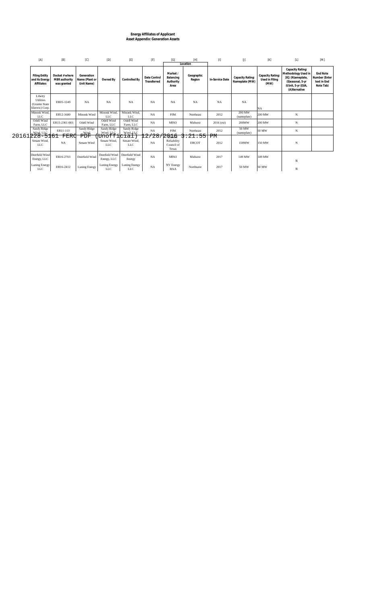# **Energy Affiliates of Applicant Asset Appendix: Generation Assets**

|       | [A]                                                              | [B]                                            | [C]                                        | [D]                                                               | [E]                                | [F]                         | [G]                                           | $[H] \centering% \includegraphics[width=1.0\textwidth]{Figures/PN1.png} \caption{The 3D (blue) and 4D (blue) are shown in the left and right. The left is the same time, the right is the same time. The right is the same time, the right is the same time.} \label{fig:SPN1}$<br>Location | $[1]$           | $[]$                               | [K]                                        | $[{\mathsf L}]$                                                                                                          | [M]                                                   |
|-------|------------------------------------------------------------------|------------------------------------------------|--------------------------------------------|-------------------------------------------------------------------|------------------------------------|-----------------------------|-----------------------------------------------|---------------------------------------------------------------------------------------------------------------------------------------------------------------------------------------------------------------------------------------------------------------------------------------------|-----------------|------------------------------------|--------------------------------------------|--------------------------------------------------------------------------------------------------------------------------|-------------------------------------------------------|
|       | <b>Filing Entity</b><br>and its Energy<br>Affiliates             | Docket # where<br>MBR authority<br>was granted | Generation<br>Name (Plant or<br>Unit Name) | Owned By                                                          | Controlled By                      | Date Control<br>Transferred | Market /<br>Balancing<br>Authority<br>Area    | Geographic<br>Region                                                                                                                                                                                                                                                                        | In-Service Date | Capacity Rating:<br>Nameplate (MW) | Capacity Rating:<br>Used in Filing<br>(MW) | Capacity Rating:<br>Methodology Used in<br>[K]: (N)ameplate,<br>(S)easonal, 5-yr<br>(U)nit, 5-yr (E)IA,<br>(A)Iternative | End Note<br>Number (Enter<br>text in End<br>Note Tab) |
|       | Liberty<br><b>Utilities</b><br>(Granite State<br>Electric) Corp. | ER05-1249                                      | NA                                         | <b>NA</b>                                                         | <b>NA</b><br><b>NA</b>             |                             | NA                                            | <b>NA</b>                                                                                                                                                                                                                                                                                   | <b>NA</b>       | <b>NA</b>                          | NA                                         |                                                                                                                          |                                                       |
|       | Minonk Wind,<br><b>LLC</b>                                       | ER12-1680                                      | Minonk Wind                                | Minonk Wind,<br><b>LLC</b>                                        | Minonk Wind,<br><b>LLC</b>         | NA                          | <b>PJM</b>                                    | Northeast                                                                                                                                                                                                                                                                                   | 2012            | 200 MW<br>(nameplate)              | 200 MW                                     | N                                                                                                                        |                                                       |
|       | Odell Wind<br>Farm, LLC                                          | ER15-2361-003                                  | Odell Wind<br>Odell Wind<br>Farm, LLC      |                                                                   | Odell Wind<br>Farm, LLC            | NA                          | <b>MISO</b>                                   | Midwest                                                                                                                                                                                                                                                                                     | $2016$ (est)    | 200MW                              | 200 MW                                     | N                                                                                                                        |                                                       |
|       | Sandy Ridge<br>$228 - 5161$                                      | ER11-113                                       | Sandy Ridge<br>Wind                        | Sandy Ridge<br>Wind, LLC                                          | Sandy Ridge<br>Wind, LLC           | <b>NA</b>                   | PJM                                           | Northeast                                                                                                                                                                                                                                                                                   | 2012            | 50 MW<br>(nameplate)               | 50 MW                                      | $_{\rm N}$                                                                                                               |                                                       |
| 20161 | Senate Wind,<br><b>LLC</b>                                       | FERC<br>NA                                     | Senate Wind                                | PDF<br> Unofficial <br>Senate Wind.<br>Senate Wind.<br><b>LLC</b> |                                    | 28<br>NA                    | 2 Queda<br>Reliability<br>Council of<br>Texas | 21:55<br><b>ERCOT</b>                                                                                                                                                                                                                                                                       | РM<br>2012      | 150MW                              | 150 MW                                     | $_{\rm N}$                                                                                                               |                                                       |
|       | Deerfield Wind<br>Energy, LLC                                    | ER16-2703                                      | Deerfield Wind                             | Deerfield Wind<br>Energy, LLC                                     | Deerfield Wind<br>Energy           | <b>NA</b>                   | <b>MISO</b>                                   | Midwest                                                                                                                                                                                                                                                                                     | 2017            | 149 MW                             | 149 MW                                     | N                                                                                                                        |                                                       |
|       | Luning Energy<br><b>LLC</b>                                      | ER16-2412                                      | Luning Energy                              | Luning Energy<br><b>LLC</b>                                       | <b>Luning Energy</b><br><b>LLC</b> | NA                          | NV Energy<br><b>BAA</b>                       | Northwest                                                                                                                                                                                                                                                                                   | 2017            | 50 MW                              | 50 MW                                      | N                                                                                                                        |                                                       |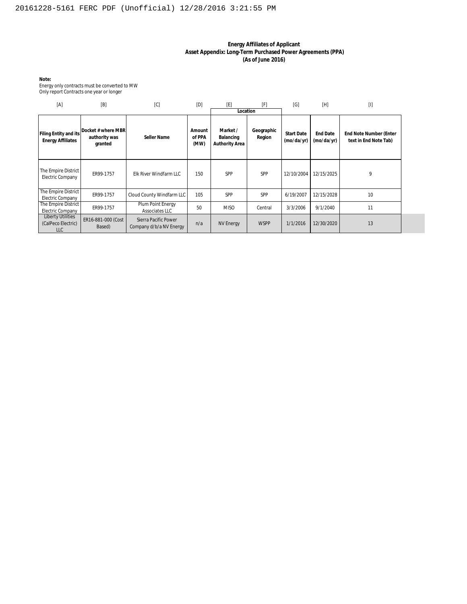#### **Energy Affiliates of Applicant Asset Appendix: Long-Term Purchased Power Agreements (PPA) (As of June 2016)**

**Note:**

Energy only contracts must be converted to MW Only report Contracts one year or longer

| [A]                                                          | [B]                                                                             | [C]                                 | [D]                      | [E]                                     | [F]                  | [G]                           | [H]                           | $[]$                                            |
|--------------------------------------------------------------|---------------------------------------------------------------------------------|-------------------------------------|--------------------------|-----------------------------------------|----------------------|-------------------------------|-------------------------------|-------------------------------------------------|
|                                                              |                                                                                 |                                     |                          | Location                                |                      |                               |                               |                                                 |
| Filing Entity and its<br><b>Energy Affiliates</b>            | Docket # where MBR<br>authority was<br>granted                                  | Seller Name                         | Amount<br>of PPA<br>(MW) | Market /<br>Balancing<br>Authority Area | Geographic<br>Region | <b>Start Date</b><br>(mod/yr) | <b>End Date</b><br>(mo/da/yr) | End Note Number (Enter<br>text in End Note Tab) |
| The Empire District<br><b>Electric Company</b>               | ER99-1757                                                                       | Elk River Windfarm LLC              | 150                      | SPP                                     | SPP                  | 12/10/2004                    | 12/15/2025                    | 9                                               |
| The Empire District<br><b>Electric Company</b>               | ER99-1757                                                                       | Cloud County Windfarm LLC           | 105                      | SPP                                     | SPP                  | 6/19/2007                     | 12/15/2028                    | 10                                              |
| The Empire District<br>Electric Company                      | ER99-1757                                                                       | Plum Point Energy<br>Associates LLC | 50                       | <b>MISO</b>                             | Central              | 3/3/2006                      | 9/1/2040                      | 11                                              |
| <b>Liberty Utilities</b><br>(CalPeco Electric)<br><b>LLC</b> | ER16-881-000 (Cost<br>Sierra Pacific Power<br>Company d/b/a NV Energy<br>Based) |                                     | n/a                      | <b>NV Energy</b>                        | <b>WSPP</b>          | 1/1/2016                      | 12/30/2020                    | 13                                              |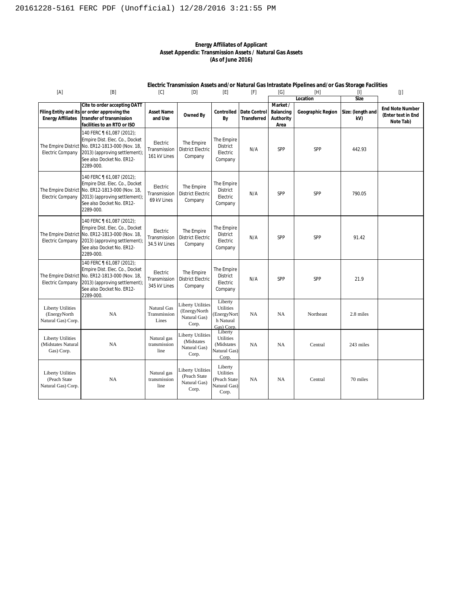#### **Energy Affiliates of Applicant Asset Appendix: Transmission Assets / Natural Gas Assets (As of June 2016)**

#### **Electric Transmission Assets and/or Natural Gas Intrastate Pipelines and/or Gas Storage Facilities**

| [A]                                                            | [B]                                                                                                                                                                                       | [C]                                       | [D]                                                               | [E]                                                                      | [F]                         | [G]                                        | [H]               | $[1]$                    | $[] \centering \includegraphics[width=0.47\textwidth]{figs/fig_14-11-100}} \caption{The 1000 of the 1000 of the 1000 of the 1000 of the 1000 of the 1000 of the 1000 of the 1000 of the 1000 of the 1000 of the 1000 of the 1000 of the 1000 of the 1000 of the 1000 of the 1000 of the 1000 of the 1000 of the 1000 of the 1000 of the 1000 of the 1000 of the 1000 of the 1000 of the 1000 of the 1000 of the $ |  |
|----------------------------------------------------------------|-------------------------------------------------------------------------------------------------------------------------------------------------------------------------------------------|-------------------------------------------|-------------------------------------------------------------------|--------------------------------------------------------------------------|-----------------------------|--------------------------------------------|-------------------|--------------------------|-------------------------------------------------------------------------------------------------------------------------------------------------------------------------------------------------------------------------------------------------------------------------------------------------------------------------------------------------------------------------------------------------------------------|--|
|                                                                |                                                                                                                                                                                           |                                           |                                                                   |                                                                          |                             |                                            | Location          | Size                     |                                                                                                                                                                                                                                                                                                                                                                                                                   |  |
| <b>Energy Affiliates</b>                                       | Cite to order accepting OATT<br>Filing Entity and its or order approving the<br>transfer of transmission<br>facilities to an RTO or ISO                                                   | Asset Name<br>and Use                     | Owned By                                                          | Controlled<br>By                                                         | Date Control<br>Transferred | Market /<br>Balancing<br>Authority<br>Area | Geographic Region | Size: (length and<br>kV) | <b>End Note Number</b><br>(Enter text in End<br>Note Tab)                                                                                                                                                                                                                                                                                                                                                         |  |
| <b>Electric Company</b>                                        | 140 FERC 1 61,087 (2012);<br>Empire Dist. Elec. Co., Docket<br>The Empire District No. ER12-1813-000 (Nov. 18,<br>2013) (approving settlement);<br>See also Docket No. ER12-<br>2289-000. | Electric<br>Transmission<br>161 kV Lines  | The Empire<br><b>District Electric</b><br>Company                 | The Empire<br>District<br>Electric<br>Company                            | N/A                         | SPP                                        | SPP               | 442.93                   |                                                                                                                                                                                                                                                                                                                                                                                                                   |  |
| <b>Electric Company</b>                                        | 140 FERC 161,087 (2012);<br>Empire Dist. Elec. Co., Docket<br>The Empire District No. ER12-1813-000 (Nov. 18,<br>2013) (approving settlement);<br>See also Docket No. ER12-<br>2289-000.  | Electric<br>Transmission<br>69 kV Lines   | The Empire<br><b>District Electric</b><br>Company                 | The Empire<br>District<br>Electric<br>Company                            | N/A                         | SPP                                        | SPP               | 790.05                   |                                                                                                                                                                                                                                                                                                                                                                                                                   |  |
| Electric Company                                               | 140 FERC 161,087 (2012);<br>Empire Dist. Elec. Co., Docket<br>The Empire District No. ER12-1813-000 (Nov. 18,<br>2013) (approving settlement);<br>See also Docket No. ER12-<br>2289-000.  | Electric<br>Transmission<br>34.5 kV Lines | The Empire<br><b>District Electric</b><br>Company                 | The Empire<br><b>District</b><br>Electric<br>Company                     | N/A                         | SPP                                        | SPP               | 91.42                    |                                                                                                                                                                                                                                                                                                                                                                                                                   |  |
| <b>Electric Company</b>                                        | 140 FERC 161,087 (2012);<br>Empire Dist. Elec. Co., Docket<br>The Empire District No. ER12-1813-000 (Nov. 18,<br>2013) (approving settlement);<br>See also Docket No. ER12-<br>2289-000.  | Electric<br>Transmission<br>345 kV Lines  | The Empire<br><b>District Electric</b><br>Company                 | The Empire<br><b>District</b><br>Electric<br>Company                     | N/A                         | SPP                                        | SPP               | 21.9                     |                                                                                                                                                                                                                                                                                                                                                                                                                   |  |
| <b>Liberty Utilities</b><br>(EnergyNorth<br>Natural Gas) Corp. | <b>NA</b>                                                                                                                                                                                 | Natural Gas<br>Transmission<br>Lines      | <b>Liberty Utilities</b><br>(EnergyNorth<br>Natural Gas)<br>Corp. | Liberty<br>Utilities<br>EnergyNort<br>h Natural<br>Gas) Corp.            | NA                          | NA                                         | Northeast         | 2.8 miles                |                                                                                                                                                                                                                                                                                                                                                                                                                   |  |
| <b>Liberty Utilities</b><br>(Midstates Natural<br>Gas) Corp.   | NA                                                                                                                                                                                        | Natural gas<br>transmission<br>line       | <b>Liberty Utilities</b><br>(Midstates<br>Natural Gas)<br>Corp.   | Liberty<br><b>Utilities</b><br><b>Midstates</b><br>Natural Gas)<br>Corp. | NA                          | NA                                         | Central           | 243 miles                |                                                                                                                                                                                                                                                                                                                                                                                                                   |  |
| <b>Liberty Utilities</b><br>(Peach State<br>Natural Gas) Corp. | NA                                                                                                                                                                                        | Natural gas<br>transmission<br>line       | Liberty Utilities<br>(Peach State<br>Natural Gas)<br>Corp.        | Liberty<br><b>Utilities</b><br>(Peach State<br>Natural Gas)<br>Corp.     | NA                          | NA                                         | Central           | 70 miles                 |                                                                                                                                                                                                                                                                                                                                                                                                                   |  |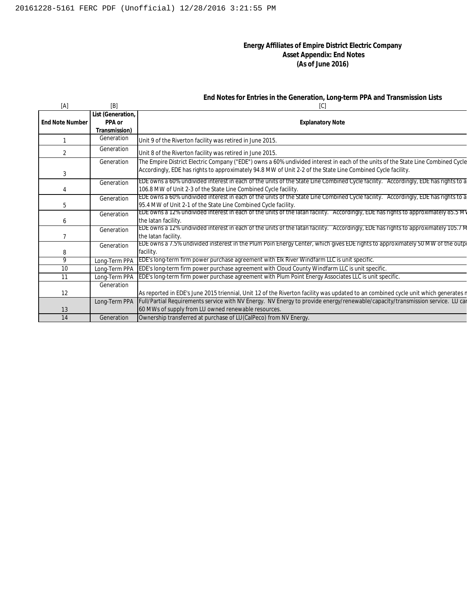#### **Energy Affiliates of Empire District Electric Company Asset Appendix: End Notes (As of June 2016)**

#### **End Notes for Entries in the Generation, Long-term PPA and Transmission Lists**

| [A]                    | [B]               | [C]                                                                                                                                |
|------------------------|-------------------|------------------------------------------------------------------------------------------------------------------------------------|
|                        | List (Generation, |                                                                                                                                    |
| <b>End Note Number</b> | PPA or            | <b>Explanatory Note</b>                                                                                                            |
|                        | Transmission)     |                                                                                                                                    |
|                        | Generation        | Unit 9 of the Riverton facility was retired in June 2015.                                                                          |
| $\overline{2}$         | Generation        | Unit 8 of the Riverton facility was retired in June 2015.                                                                          |
|                        | Generation        | The Empire District Electric Company ("EDE") owns a 60% undivided interest in each of the units of the State Line Combined Cycle   |
| 3                      |                   | Accordingly, EDE has rights to approximately 94.8 MW of Unit 2-2 of the State Line Combined Cycle facility.                        |
|                        | Generation        | EDE owns a 60% undivided interest in each of the units of the State Line Combined Cycle facility. Accordingly, EDE has rights to a |
|                        |                   | 106.8 MW of Unit 2-3 of the State Line Combined Cycle facility.                                                                    |
|                        | Generation        | EDE owns a 60% undivided interest in each of the units of the State Line Combined Cycle facility. Accordingly, EDE has rights to a |
| 5                      |                   | 95.4 MW of Unit 2-1 of the State Line Combined Cycle facility.                                                                     |
|                        | Generation        | EDE owns a 12% undivided interest in each of the units of the latan facility. Accordingly, EDE has rights to approximately 85.5 MV |
| 6                      |                   | the latan facility.                                                                                                                |
|                        | Generation        | EDE owns a 12% undivided interest in each of the units of the latan facility. Accordingly, EDE has rights to approximately 105.7 M |
|                        |                   | the latan facility.                                                                                                                |
|                        | Generation        | EDE owns a 7.5% undivided insterest in the Plum Poin Energy Center, which gives EDE rights to approximately 50 MW of the outp      |
| 8                      |                   | facility.                                                                                                                          |
| 9                      | Long-Term PPA     | <b>EDE's long-term firm power purchase agreement with Elk River Windfarm LLC is unit specific.</b>                                 |
| 10                     | Long-Term PPA     | EDE's long-term firm power purchase agreement with Cloud County Windfarm LLC is unit specific.                                     |
| 11                     | Long-Term PPA     | EDE's long-term firm power purchase agreement with Plum Point Energy Associates LLC is unit specific.                              |
|                        | Generation        |                                                                                                                                    |
| 12                     |                   | As reported in EDE's June 2015 triennial, Unit 12 of the Riverton facility was updated to an combined cycle unit which generates r |
|                        | Long-Term PPA     | Full/Partial Requirements service with NV Energy. NV Energy to provide energy/renewable/capacity/transmission service. LU can      |
| 13                     |                   | 60 MWs of supply from LU owned renewable resources.                                                                                |
| 14                     | Generation        | Ownership transferred at purchase of LU(CalPeco) from NV Energy.                                                                   |
|                        |                   |                                                                                                                                    |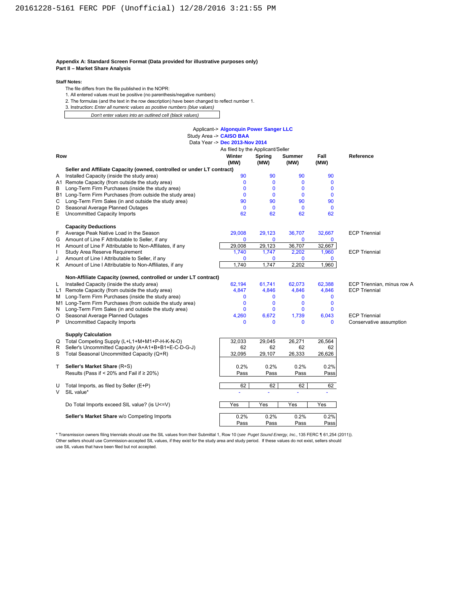#### **Appendix A: Standard Screen Format (Data provided for illustrative purposes only) Part II – Market Share Analysis**

#### **Staff Notes:**

- The file differs from the file published in the NOPR:
- 1. All entered values must be positive (no parenthesis/negative numbers)
- 2. The formulas (and the text in the row description) have been changed to reflect number 1.
- 3. Instruction**:** *Enter all numeric values as positive numbers (blue values)*
- *Don't enter values into an outlined cell (black values)*

#### Applicant-> **Algonquin Power Sanger LLC** Study Area -> **CAISO BAA** 2014

|     |                                                                        | As filed by the Applicant/Seller |                |                |              |                            |
|-----|------------------------------------------------------------------------|----------------------------------|----------------|----------------|--------------|----------------------------|
| Row |                                                                        | Winter<br>(MW)                   | Spring<br>(MW) | Summer<br>(MW) | Fall<br>(MW) | Reference                  |
|     | Seller and Affiliate Capacity (owned, controlled or under LT contract) |                                  |                |                |              |                            |
| A   | Installed Capacity (inside the study area)                             | 90                               | 90             | 90             | 90           |                            |
|     | A1 Remote Capacity (from outside the study area)                       | $\mathbf{0}$                     | $\mathbf 0$    | $\mathbf 0$    | $\mathbf 0$  |                            |
| В   | Long-Term Firm Purchases (inside the study area)                       | $\Omega$                         | $\Omega$       | $\mathbf{0}$   | $\mathbf{0}$ |                            |
|     | B1 Long-Term Firm Purchases (from outside the study area)              | $\Omega$                         | $\Omega$       | $\mathbf{0}$   | $\mathbf{0}$ |                            |
| C   | Long-Term Firm Sales (in and outside the study area)                   | 90                               | 90             | 90             | 90           |                            |
| D   | Seasonal Average Planned Outages                                       | $\Omega$                         | $\mathbf 0$    | $\Omega$       | $\mathbf{0}$ |                            |
| E.  | <b>Uncommitted Capacity Imports</b>                                    | 62                               | 62             | 62             | 62           |                            |
|     | <b>Capacity Deductions</b>                                             |                                  |                |                |              |                            |
| F.  | Average Peak Native Load in the Season                                 | 29,008                           | 29,123         | 36,707         | 32,667       | <b>ECP Triennial</b>       |
|     | G Amount of Line F Attributable to Seller, if any                      | $\mathbf{0}$                     | $\mathbf 0$    | 0              | $\mathbf 0$  |                            |
|     | H Amount of Line F Attributable to Non-Affiliates, if any              | 29,008                           | 29,123         | 36,707         | 32,667       |                            |
| L   | Study Area Reserve Requirement                                         | 1,740                            | 1,747          | 2,202          | 1,960        | <b>ECP Triennial</b>       |
| J   | Amount of Line I Attributable to Seller, if any                        | $\mathbf{0}$                     | $\mathbf 0$    | $\mathbf{0}$   | $\mathbf{0}$ |                            |
|     | K Amount of Line I Attributable to Non-Affiliates, if any              | 1.740                            | 1,747          | 2,202          | 1,960        |                            |
|     | Non-Affiliate Capacity (owned, controlled or under LT contract)        |                                  |                |                |              |                            |
| L.  | Installed Capacity (inside the study area)                             | 62,194                           | 61,741         | 62,073         | 62,388       | ECP Triennian, minus row A |
|     | L1 Remote Capacity (from outside the study area)                       | 4,847                            | 4,846          | 4,846          | 4,846        | <b>ECP Triennial</b>       |
| M   | Long-Term Firm Purchases (inside the study area)                       | $\mathbf{0}$                     | 0              | $\mathbf{0}$   | $\mathbf 0$  |                            |
|     | M1 Long-Term Firm Purchases (from outside the study area)              | $\Omega$                         | $\mathbf 0$    | 0              | $\mathbf 0$  |                            |
|     | N Long-Term Firm Sales (in and outside the study area)                 | $\Omega$                         | $\Omega$       | $\mathbf{0}$   | $\mathbf{0}$ |                            |
| O   | Seasonal Average Planned Outages                                       | 4,260                            | 6,672          | 1,739          | 6,043        | <b>ECP Triennial</b>       |
| P   | <b>Uncommitted Capacity Imports</b>                                    | $\Omega$                         | $\Omega$       | $\Omega$       | $\Omega$     | Conservative assumption    |
|     | <b>Supply Calculation</b>                                              |                                  |                |                |              |                            |
|     | Q Total Competing Supply (L+L1+M+M1+P-H-K-N-O)                         | 32,033                           | 29,045         | 26,271         | 26,564       |                            |
| R   | Seller's Uncommitted Capacity (A+A1+B+B1+E-C-D-G-J)                    | 62                               | 62             | 62             | 62           |                            |
| S   | Total Seasonal Uncommitted Capacity (Q+R)                              | 32,095                           | 29,107         | 26,333         | 26,626       |                            |
| T.  | Seller's Market Share (R÷S)                                            | 0.2%                             | 0.2%           | 0.2%           | 0.2%         |                            |
|     | Results (Pass if < 20% and Fail if $\geq$ 20%)                         | Pass                             | Pass           | Pass           | Pass         |                            |
| U   | Total Imports, as filed by Seller (E+P)                                | 62                               | 62             | 62             | 62           |                            |
| V   | SIL value*                                                             |                                  |                |                |              |                            |
|     | Do Total Imports exceed SIL value? (is U<=V)                           | Yes                              | Yes            | Yes            | Yes          |                            |
|     | Seller's Market Share w/o Competing Imports                            | 0.2%                             | 0.2%           | 0.2%           | 0.2%         |                            |
|     |                                                                        | Pass                             | Pass           | Pass           | Pass         |                            |

\* Transmission owners filing triennials should use the SIL values from their Submittal 1, Row 10 (*see Puget Sound Energy, Inc.,* 135 FERC ¶ 61,254 (2011)). Other sellers should use Commission-accepted SIL values, if they exist for the study area and study period. If these values do not exist, sellers should use SIL values that have been filed but not accepted.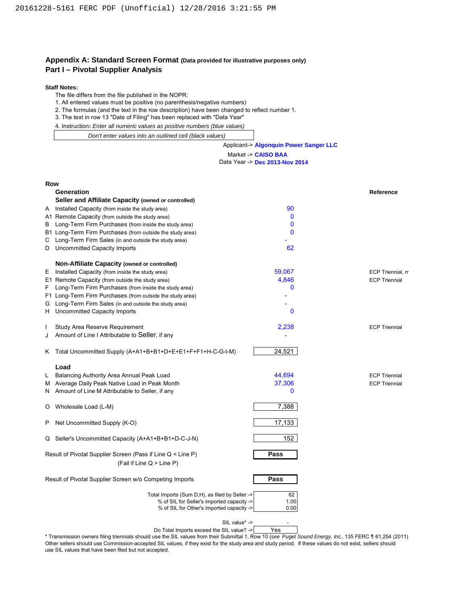#### **Appendix A: Standard Screen Format (Data provided for illustrative purposes only) Part I – Pivotal Supplier Analysis**

#### **Staff Notes:**

The file differs from the file published in the NOPR:

1. All entered values must be positive (no parenthesis/negative numbers)

2. The formulas (and the text in the row description) have been changed to reflect number 1.

3. The text in row 13 "Date of Filing" has been replaced with "Data Year"

4. Instruction**:** *Enter all numeric values as positive numbers (blue values)*

 *Don't enter values into an outlined cell (black values)*

#### Applicant-> **Algonquin Power Sanger LLC**

#### Market -> **CAISO BAA**

Data Year -> **Dec 2013-Nov 2014**

| <b>Row</b> |                                                              |              |                      |
|------------|--------------------------------------------------------------|--------------|----------------------|
|            | Generation                                                   |              | Reference            |
|            | Seller and Affiliate Capacity (owned or controlled)          |              |                      |
|            | A Installed Capacity (from inside the study area)            | 90           |                      |
|            | A1 Remote Capacity (from outside the study area)             | $\mathbf 0$  |                      |
| B          | Long-Term Firm Purchases (from inside the study area)        | 0            |                      |
|            | B1 Long-Term Firm Purchases (from outside the study area)    | 0            |                      |
| С          | Long-Term Firm Sales (in and outside the study area)         |              |                      |
| D          | Uncommitted Capacity Imports                                 | 62           |                      |
|            | Non-Affiliate Capacity (owned or controlled)                 |              |                      |
| Е          | Installed Capacity (from inside the study area)              | 59,067       | ECP Triennial, m     |
|            | E1 Remote Capacity (from outside the study area)             | 4,846        | <b>ECP Triennial</b> |
| F.         | Long-Term Firm Purchases (from inside the study area)        | 0            |                      |
|            | F1 Long-Term Firm Purchases (from outside the study area)    |              |                      |
| G          | Long-Term Firm Sales (in and outside the study area)         |              |                      |
| H.         | Uncommitted Capacity Imports                                 | 0            |                      |
|            | Study Area Reserve Requirement                               | 2,238        | <b>ECP Triennial</b> |
| J          | Amount of Line I Attributable to Seller, if any              |              |                      |
|            | K Total Uncommitted Supply (A+A1+B+B1+D+E+E1+F+F1+H-C-G-I-M) | 24,521       |                      |
|            | Load                                                         |              |                      |
| L          | Balancing Authority Area Annual Peak Load                    | 44.694       | <b>ECP Triennial</b> |
| M          | Average Daily Peak Native Load in Peak Month                 | 37,306       | <b>ECP Triennial</b> |
| N          | Amount of Line M Attributable to Seller, if any              | $\mathbf{0}$ |                      |
| O          | Wholesale Load (L-M)                                         | 7,388        |                      |
| P          | Net Uncommitted Supply (K-O)                                 | 17,133       |                      |
|            | Q Seller's Uncommitted Capacity (A+A1+B+B1+D-C-J-N)          | 152          |                      |
|            | Result of Pivotal Supplier Screen (Pass if Line Q < Line P)  | Pass         |                      |
|            | (Fail if Line $Q >$ Line P)                                  |              |                      |
|            | Result of Pivotal Supplier Screen w/o Competing Imports      | Pass         |                      |
|            | Total Imports (Sum D,H), as filed by Seller ->               | 62           |                      |
|            | % of SIL for Seller's imported capacity ->                   | 1.00         |                      |
|            | % of SIL for Other's imported capacity ->                    | 0.00         |                      |

SIL value\* ->

Do Total Imports exceed the SIL value? -> Yes

\* Transmission owners filing triennials should use the SIL values from their Submittal 1, Row 10 (*see Puget Sound Energy, Inc.,* 135 FERC ¶ 61,254 (2011)). Other sellers should use Commission-accepted SIL values, if they exist for the study area and study period. If these values do not exist, sellers should use SIL values that have been filed but not accepted.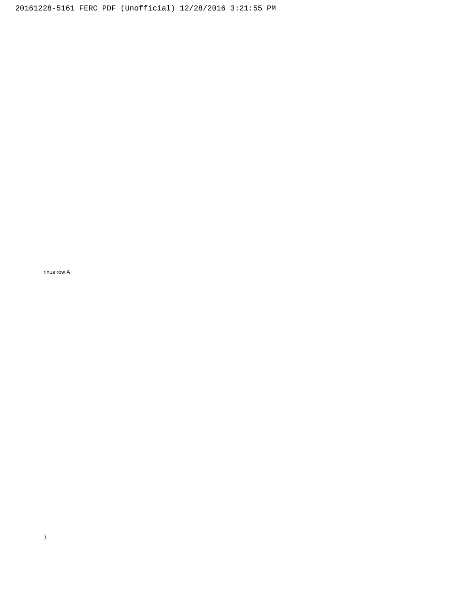inus row A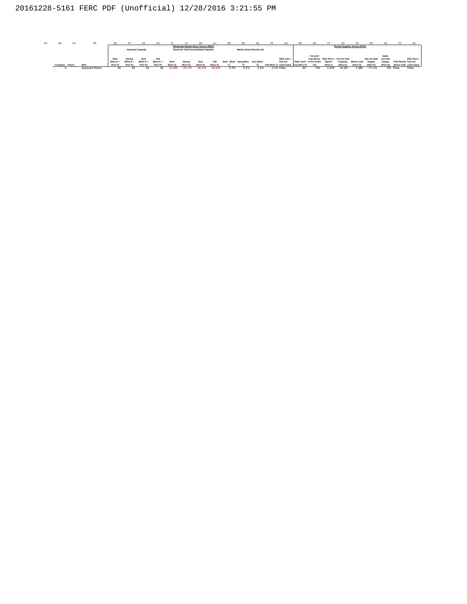| [A] | [ <sub>B</sub> ] |        |                |                |               |                          |                |               |         |                                     |               |                              |      |                          |                                     |                         |            |                |                                  |            |               |         |                       |            |
|-----|------------------|--------|----------------|----------------|---------------|--------------------------|----------------|---------------|---------|-------------------------------------|---------------|------------------------------|------|--------------------------|-------------------------------------|-------------------------|------------|----------------|----------------------------------|------------|---------------|---------|-----------------------|------------|
|     |                  |        |                |                |               |                          |                |               |         | Wholesale Market Share Screen (MSS) |               |                              |      |                          |                                     |                         |            |                | Pivotal Supplier Screen (PSS)    |            |               |         |                       |            |
|     |                  |        |                |                |               | <b>Imported Capacity</b> |                |               |         | Seasonal Total Uncommitted Capacity |               |                              |      | Market Share Results (%) |                                     |                         |            |                |                                  |            |               |         |                       |            |
|     |                  |        |                |                |               |                          |                |               |         |                                     |               |                              |      |                          |                                     |                         | Tot Inst'l |                |                                  |            |               | Seller  |                       |            |
|     |                  |        |                | Wntr           |               | Sum                      | Fall           |               |         |                                     |               |                              |      |                          | <b>MSS Pass/</b>                    |                         |            |                | Cap [Rows BAA Res'rv Tot Unc'mtd |            | Net unc'mtd   | unc'mtd |                       | PSS Pass / |
|     |                  |        |                | <b>IRow E+</b> | <b>IRow E</b> | <b>IRow E+</b>           | <b>IRow E+</b> | Wntr          | Spring  |                                     | Fall          | Wntr [Row Sprg [Row Sum [Row |      |                          | Fail w/o                            | Seller Inst'l A+A1+B+B1 |            | Ramn't         | Capacity                         | Whisi Load | Supply        | Supply  | PSS Result Fail w/o   |            |
|     | Company          | Anivst | <b>Mrkt</b>    | <b>Row P</b>   | <b>Row P</b>  | Row Pl                   | Row Pl         | <b>IRow S</b> | [Row S] | <b>IRow S</b>                       | <b>IRow S</b> |                              |      |                          | Fall IRow TI cmpt imp@ Cap IRow All |                         |            | <b>IRow II</b> | <b>IRow H</b>                    | [Row O]    | <b>IRow F</b> | [Row Q] | [Pass/Fail] cmpt imp@ |            |
|     |                  |        | Applicant Name |                |               |                          |                | 32.095        | 29.107  | 26.333                              | 26.626        | 0.2%                         | 0.2% | 0.2%                     | 0.2% Pass                           |                         | 152        | 2.238          | 24.521                           | 7,388      | 17.133        |         | 152 Pass              | Pass       |